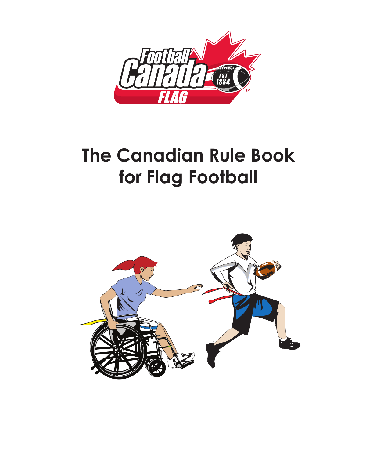

# **The Canadian Rule Book for Flag Football**

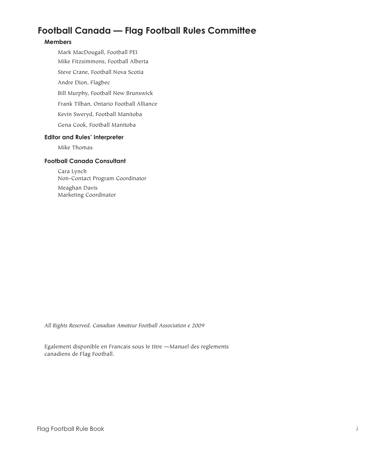# **Football Canada — Flag Football Rules Committee**

# **Members**

 Mark MacDougall, Football PEI Mike Fitzsimmons, Football Alberta Steve Crane, Football Nova Scotia Andre Dion, Flagbec Bill Murphy, Football New Brunswick Frank Tilban, Ontario Football Alliance Kevin Sweryd, Football Manitoba Gena Cook, Football Manitoba

# **Editor and Rules' Interpreter**

 Mike Thomas

# **Football Canada Consultant**

 Cara Lynch Non-Contact Program Coordinator Meaghan Davis Marketing Coordinator

*All Rights Reserved. Canadian Amateur Football Association e 2009*

Egalement disponible en Francais sous Ie titre —Manuel des reglements canadiens de Flag Football.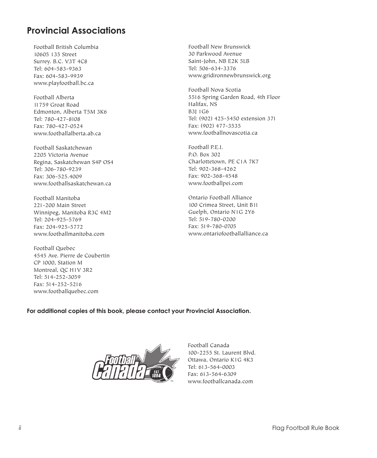# **Provincial Associations**

Football British Columbia 10605 135 Street Surrey. B.C. V3T 4C8 Tel: 604-583-9363 Fax: 604-583-9939 www.playfootball.bc.ca

Football Alberta 11759 Groat Road Edmonton, Alberta T5M 3K6 Tel: 780-427-8108 Fax: 780-427-0524 www.footballalberta.ab.ca

Football Saskatchewan 2205 Victoria Avenue Regina, Saskatchewan S4P OS4 Tel: 306-780-9239 Fax: 306-525.4009 www.footballsaskatchewan.ca

Football Manitoba 221-200 Main Street Winnipeg, Manitoba R3C 4M2 Tel: 204-925-5769 Fax: 204-925-5772 www.footballmanitoba.com

Football Quebec 4545 Ave. Pierre de Coubertin CP 1000, Station M Montreal, QC H1V 3R2 Tel: 514-252-3059 Fax: 514-252-5216 www.footballquebec.com

Football New Brunswick 30 Parkwood Avenue Saint-John, NB E2K 5LB Tel: 506-634-3376 www.gridironnewbrunswick.org

Football Nova Scotia 5516 Spring Garden Road, 4th Floor Halifax, NS B3J 1G6 Tel: (902) 425-5450 extension 371 Fax: (902) 477-3535 www.footballnovascotia.ca

Football P.E.I. P.O. Box 302 Charlottetown, PE C1A 7K7 Tel: 902-368-4262 Fax: 902-368-4548 www.footballpei.com

Ontario Football Alliance 100 Crimea Street, Unit B11 Guelph, Ontario N1G 2Y6 Tel: 519-780-0200 Fax: 519-780-0705 www.ontariofootballalliance.ca

# **For additional copies of this book, please contact your Provincial Association.**



Football Canada 100-2255 St. Laurent Blvd. Ottawa, Ontario K1G 4K3 Tel: 613-564-0003 Fax: 613-564-6309 www.footballcanada.com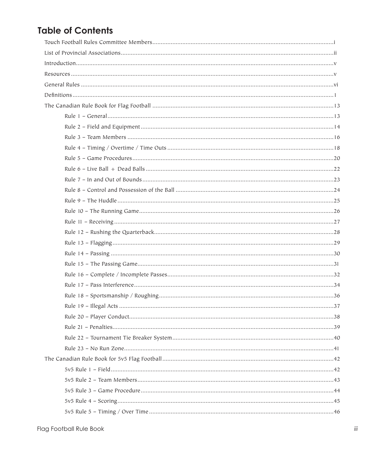# **Table of Contents**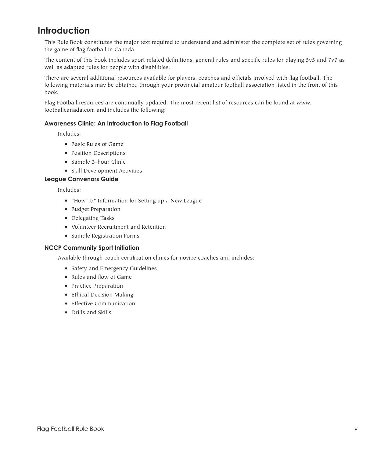# **Introduction**

This Rule Book constitutes the major text required to understand and administer the complete set of rules governing the game of flag football in Canada.

The content of this book includes sport related definitions, general rules and specific rules for playing 5v5 and 7v7 as well as adapted rules for people with disabilities.

There are several additional resources available for players, coaches and officials involved with flag football. The following materials may be obtained through your provincial amateur football association listed in the front of this book.

Flag Football resources are continually updated. The most recent list of resources can be found at www. footballcanada.com and includes the following:

# **Awareness Clinic: An Introduction to Flag Football**

 Includes:

- • Basic Rules of Game
- Position Descriptions
- Sample 3-hour Clinic
- Skill Development Activities

#### **League Convenors Guide**

 Includes:

- • "How To" Information for Setting up a New League
- • Budget Preparation
- Delegating Tasks
- • Volunteer Recruitment and Retention
- • Sample Registration Forms

#### **NCCP Community Sport Initiation**

 Available through coach certification clinics for novice coaches and includes:

- Safety and Emergency Guidelines
- • Rules and flow of Game
- • Practice Preparation
- • Ethical Decision Making
- • Effective Communication
- • Drills and Skills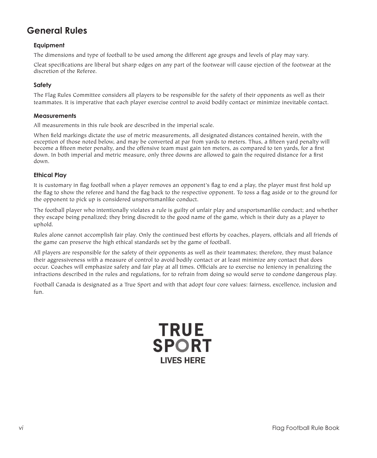# **General Rules**

# **Equipment**

The dimensions and type of football to be used among the different age groups and levels of play may vary.

Cleat specifications are liberal but sharp edges on any part of the footwear will cause ejection of the footwear at the discretion of the Referee.

# **Safety**

The Flag Rules Committee considers all players to be responsible for the safety of their opponents as well as their teammates. It is imperative that each player exercise control to avoid bodily contact or minimize inevitable contact.

# **Measurements**

All measurements in this rule book are described in the imperial scale.

When field markings dictate the use of metric measurements, all designated distances contained herein, with the exception of those noted below, and may be converted at par from yards to meters. Thus, a fifteen yard penalty will become a fifteen meter penalty, and the offensive team must gain ten meters, as compared to ten yards, for a first down. In both imperial and metric measure, only three downs are allowed to gain the required distance for a first down.

# **Ethical Play**

It is customary in flag football when a player removes an opponent's flag to end a play, the player must first hold up the flag to show the referee and hand the flag back to the respective opponent. To toss a flag aside or to the ground for the opponent to pick up is considered unsportsmanlike conduct.

The football player who intentionally violates a rule is guilty of unfair play and unsportsmanlike conduct; and whether they escape being penalized; they bring discredit to the good name of the game, which is their duty as a player to uphold.

Rules alone cannot accomplish fair play. Only the continued best efforts by coaches, players, officials and all friends of the game can preserve the high ethical standards set by the game of football.

All players are responsible for the safety of their opponents as well as their teammates; therefore, they must balance their aggressiveness with a measure of control to avoid bodily contact or at least minimize any contact that does occur. Coaches will emphasize safety and fair play at all times. Officials are to exercise no leniency in penalizing the infractions described in the rules and regulations, for to refrain from doing so would serve to condone dangerous play.

Football Canada is designated as a True Sport and with that adopt four core values: fairness, excellence, inclusion and fun.

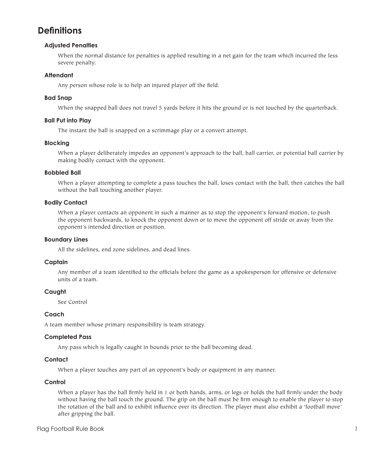# **Definitions**

# **Adjusted Penalties**

 When the normal distance for penalties is applied resulting in a net gain for the team which incurred the less severe penalty.

# **Attendant**

 Any person whose role is to help an injured player off the field.

#### **Bad Snap**

 When the snapped ball does not travel 5 yards before it hits the ground or is not touched by the quarterback.

#### **Ball Put into Play**

 The instant the ball is snapped on a scrimmage play or a convert attempt.

#### **Blocking**

 When a player deliberately impedes an opponent's approach to the ball, ball carrier, or potential ball carrier by making bodily contact with the opponent.

#### **Bobbled Ball**

 When a player attempting to complete a pass touches the ball, loses contact with the ball, then catches the ball without the ball touching another player.

### **Bodily Contact**

 When a player contacts an opponent in such a manner as to stop the opponent's forward motion, to push the opponent backwards, to knock the opponent down or to move the opponent off stride or away from the opponent's intended direction or position.

#### **Boundary Lines**

 All the sidelines, end zone sidelines, and dead lines.

#### **Captain**

 Any member of a team identified to the officials before the game as a spokesperson for offensive or defensive units of a team.

# **Caught**

 See Control

# **Coach**

A team member whose primary responsibility is team strategy.

# **Completed Pass**

 Any pass which is legally caught in bounds prior to the ball becoming dead.

# **Contact**

 When a player touches any part of an opponent's body or equipment in any manner.

# **Control**

When a player has the ball firmly held in 1 or both hands, arms, or legs or holds the ball firmly under the body without having the ball touch the ground. The grip on the ball must be firm enough to enable the player to stop the rotation of the ball and to exhibit influence over its direction. The player must also exhibit a 'football move' after gripping the ball.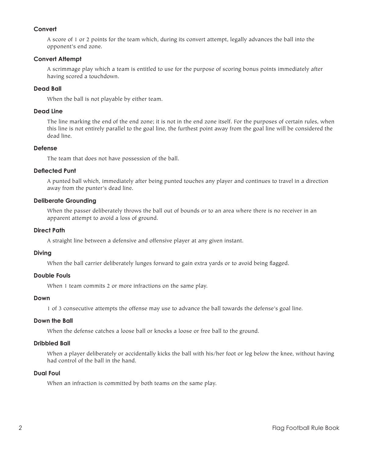# **Convert**

 A score of 1 or 2 points for the team which, during its convert attempt, legally advances the ball into the opponent's end zone.

# **Convert Attempt**

 A scrimmage play which a team is entitled to use for the purpose of scoring bonus points immediately after having scored a touchdown.

# **Dead Ball**

 When the ball is not playable by either team.

### **Dead Line**

 The line marking the end of the end zone; it is not in the end zone itself. For the purposes of certain rules, when this line is not entirely parallel to the goal line, the furthest point away from the goal line will be considered the dead line.

# **Defense**

 The team that does not have possession of the ball.

#### **Deflected Punt**

 A punted ball which, immediately after being punted touches any player and continues to travel in a direction away from the punter's dead line.

### **Deliberate Grounding**

 When the passer deliberately throws the ball out of bounds or to an area where there is no receiver in an apparent attempt to avoid a loss of ground.

#### **Direct Path**

 A straight line between a defensive and offensive player at any given instant.

#### **Diving**

 When the ball carrier deliberately lunges forward to gain extra yards or to avoid being flagged.

#### **Double Fouls**

When 1 team commits 2 or more infractions on the same play.

### **Down**

 1 of 3 consecutive attempts the offense may use to advance the ball towards the defense's goal line.

#### **Down the Ball**

 When the defense catches a loose ball or knocks a loose or free ball to the ground.

# **Dribbled Ball**

 When a player deliberately or accidentally kicks the ball with his/her foot or leg below the knee, without having had control of the ball in the hand.

# **Dual Foul**

 When an infraction is committed by both teams on the same play.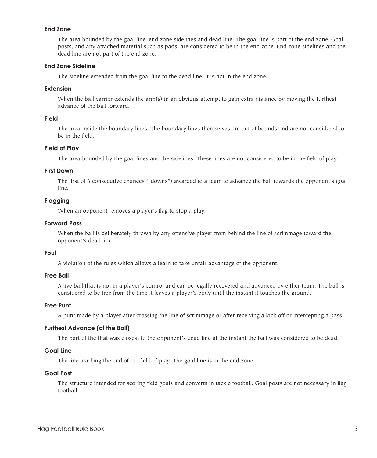### **End Zone**

 The area bounded by the goal line, end zone sidelines and dead line. The goal line is part of the end zone. Goal posts, and any attached material such as pads, are considered to be in the end zone. End zone sidelines and the dead line are not part of the end zone.

# **End Zone Sideline**

 The sideline extended from the goal line to the dead line. It is not in the end zone.

#### **Extension**

When the ball carrier extends the arm(s) in an obvious attempt to gain extra distance by moving the furthest advance of the ball forward.

#### **Field**

 The area inside the boundary lines. The boundary lines themselves are out of bounds and are not considered to be in the field.

#### **Field of Play**

 The area bounded by the goal lines and the sidelines. These lines are not considered to be in the field of play.

#### **First Down**

 The first of 3 consecutive chances ("downs") awarded to a team to advance the ball towards the opponent's goal line.

# **Flagging**

 When an opponent removes a player's flag to stop a play.

### **Forward Pass**

 When the ball is deliberately thrown by any offensive player from behind the line of scrimmage toward the opponent's dead line.

### **Foul**

 A violation of the rules which allows a learn to take unfair advantage of the opponent.

#### **Free Ball**

 A live ball that is not in a player's control and can be legally recovered and advanced by either team. The ball is considered to be free from the time it leaves a player's body until the instant it touches the ground.

#### **Free Punt**

 A punt made by a player after crossing the line of scrimmage or after receiving a kick off or intercepting a pass.

#### **Furthest Advance (of the Ball)**

 The part of the that was closest to the opponent's dead line at the instant the ball was considered to be dead.

#### **Goal Line**

 The line marking the end of the field of play. The goal line is in the end zone.

#### **Goal Post**

 The structure intended for scoring field goals and converts in tackle football. Goal posts are not necessary in flag football.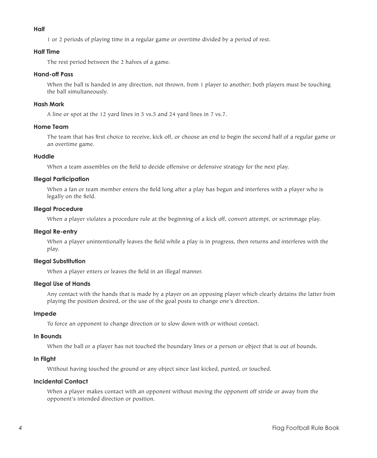#### **Half**

 1 or 2 periods of playing time in a regular game or overtime divided by a period of rest.

#### **Half Time**

 The rest period between the 2 halves of a game.

# **Hand-off Pass**

When the ball is handed in any direction, not thrown, from 1 player to another; both players must be touching the ball simultaneously.

### **Hash Mark**

 A line or spot at the 12 yard lines in 5 vs.5 and 24 yard lines in 7 vs.7.

### **Home Team**

 The team that has first choice to receive, kick off, or choose an end to begin the second half of a regular game or an overtime game.

#### **Huddle**

 When a team assembles on the field to decide offensive or defensive strategy for the next play.

#### **Illegal Participation**

 When a fan or team member enters the field long after a play has begun and interferes with a player who is legally on the field.

### **Illegal Procedure**

 When a player violates a procedure rule at the beginning of a kick off, convert attempt, or scrimmage play.

#### **Illegal Re-entry**

 When a player unintentionally leaves the field while a play is in progress, then returns and interferes with the play.

# **Illegal Substitution**

 When a player enters or leaves the field in an illegal manner.

### **Illegal Use of Hands**

 Any contact with the hands that is made by a player on an opposing player which clearly detains the latter from playing the position desired, or the use of the goal posts to change one's direction.

# **Impede**

 To force an opponent to change direction or to slow down with or without contact.

#### **In Bounds**

 When the ball or a player has not touched the boundary lines or a person or object that is out of bounds.

# **In Flight**

 Without having touched the ground or any object since last kicked, punted, or touched.

# **Incidental Contact**

 When a player makes contact with an opponent without moving the opponent off stride or away from the opponent's intended direction or position.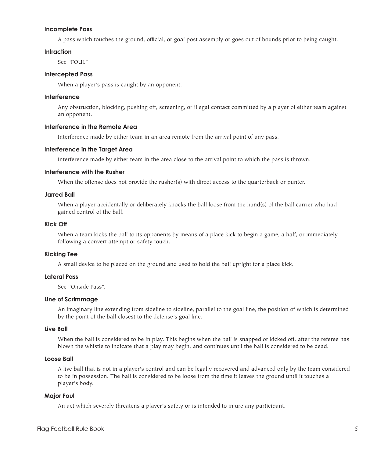#### **Incomplete Pass**

 A pass which touches the ground, official, or goal post assembly or goes out of bounds prior to being caught.

#### **Infraction**

 See "FOUL"

# **Intercepted Pass**

 When a player's pass is caught by an opponent.

### **Interference**

 Any obstruction, blocking, pushing off, screening, or illegal contact committed by a player of either team against an opponent.

### **Interference in the Remote Area**

 Interference made by either team in an area remote from the arrival point of any pass.

#### **Interference in the Target Area**

 Interference made by either team in the area close to the arrival point to which the pass is thrown.

# **Interference with the Rusher**

 When the offense does not provide the rusher(s) with direct access to the quarterback or punter.

#### **Jarred Ball**

 When a player accidentally or deliberately knocks the ball loose from the hand(s) of the ball carrier who had gained control of the ball.

#### **Kick Off**

 When a team kicks the ball to its opponents by means of a place kick to begin a game, a half, or immediately following a convert attempt or safety touch.

#### **Kicking Tee**

 A small device to be placed on the ground and used to hold the ball upright for a place kick.

#### **Lateral Pass**

 See "Onside Pass".

#### **Line of Scrimmage**

 An imaginary line extending from sideline to sideline, parallel to the goal line, the position of which is determined by the point of the ball closest to the defense's goal line.

#### **Live Ball**

 When the ball is considered to be in play. This begins when the ball is snapped or kicked off, after the referee has blown the whistle to indicate that a play may begin, and continues until the ball is considered to be dead.

#### **Loose Ball**

 A live ball that is not in a player's control and can be legally recovered and advanced only by the team considered to be in possession. The ball is considered to be loose from the time it leaves the ground until it touches a player's body.

### **Major Foul**

 An act which severely threatens a player's safety or is intended to injure any participant.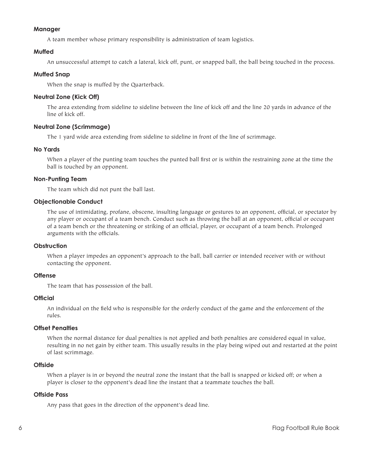#### **Manager**

 A team member whose primary responsibility is administration of team logistics.

### **Muffed**

 An unsuccessful attempt to catch a lateral, kick off, punt, or snapped ball, the ball being touched in the process.

### **Muffed Snap**

 When the snap is muffed by the Quarterback.

# **Neutral Zone (Kick Off)**

 The area extending from sideline to sideline between the line of kick off and the line 20 yards in advance of the line of kick off.

#### **Neutral Zone (Scrimmage)**

 The 1 yard wide area extending from sideline to sideline in front of the line of scrimmage.

#### **No Yards**

 When a player of the punting team touches the punted ball first or is within the restraining zone at the time the ball is touched by an opponent.

#### **Non-Punting Team**

 The team which did not punt the ball last.

#### **Objectionable Conduct**

 The use of intimidating, profane, obscene, insulting language or gestures to an opponent, official, or spectator by any player or occupant of a team bench. Conduct such as throwing the ball at an opponent, official or occupant of a team bench or the threatening or striking of an official, player, or occupant of a team bench. Prolonged arguments with the officials.

#### **Obstruction**

 When a player impedes an opponent's approach to the ball, ball carrier or intended receiver with or without contacting the opponent.

#### **Offense**

 The team that has possession of the ball.

#### **Official**

 An individual on the field who is responsible for the orderly conduct of the game and the enforcement of the rules.

#### **Offset Penalties**

 When the normal distance for dual penalties is not applied and both penalties are considered equal in value, resulting in no net gain by either team. This usually results in the play being wiped out and restarted at the point of last scrimmage.

#### **Offside**

 When a player is in or beyond the neutral zone the instant that the ball is snapped or kicked off; or when a player is closer to the opponent's dead line the instant that a teammate touches the ball.

### **Offside Pass**

 Any pass that goes in the direction of the opponent's dead line.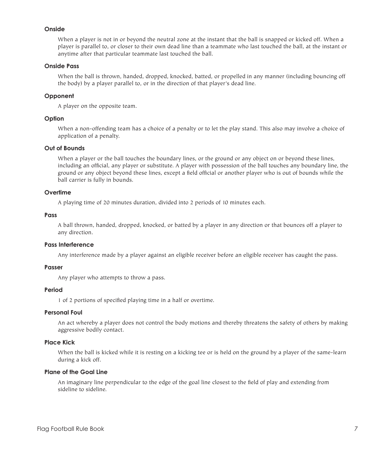#### **Onside**

 When a player is not in or beyond the neutral zone at the instant that the ball is snapped or kicked off. When a player is parallel to, or closer to their own dead line than a teammate who last touched the ball, at the instant or anytime after that particular teammate last touched the ball.

# **Onside Pass**

 When the ball is thrown, handed, dropped, knocked, batted, or propelled in any manner (including bouncing off the body) by a player parallel to, or in the direction of that player's dead line.

#### **Opponent**

 A player on the opposite team.

#### **Option**

 When a non-offending team has a choice of a penalty or to let the play stand. This also may involve a choice of application of a penalty.

### **Out of Bounds**

 When a player or the ball touches the boundary lines, or the ground or any object on or beyond these lines, including an official, any player or substitute. A player with possession of the ball touches any boundary line, the ground or any object beyond these lines, except a field official or another player who is out of bounds while the ball carrier is fully in bounds.

#### **Overtime**

 A playing time of 20 minutes duration, divided into 2 periods of 10 minutes each.

### **Pass**

 A ball thrown, handed, dropped, knocked, or batted by a player in any direction or that bounces off a player to any direction.

# **Pass Interference**

 Any interference made by a player against an eligible receiver before an eligible receiver has caught the pass.

### **Passer**

 Any player who attempts to throw a pass.

### **Period**

 1 of 2 portions of specified playing time in a half or overtime.

#### **Personal Foul**

 An act whereby a player does not control the body motions and thereby threatens the safety of others by making aggressive bodily contact.

# **Place Kick**

 When the ball is kicked while it is resting on a kicking tee or is held on the ground by a player of the same-learn during a kick off.

#### **Plane of the Goal Line**

 An imaginary line perpendicular to the edge of the goal line closest to the field of play and extending from sideline to sideline.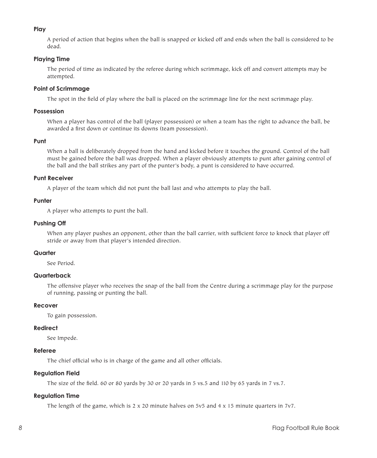# **Play**

 A period of action that begins when the ball is snapped or kicked off and ends when the ball is considered to be dead.

# **Playing Time**

 The period of time as indicated by the referee during which scrimmage, kick off and convert attempts may be attempted.

# **Point of Scrimmage**

 The spot in the field of play where the ball is placed on the scrimmage line for the next scrimmage play.

### **Possession**

 When a player has control of the ball (player possession) or when a team has the right to advance the ball, be awarded a first down or continue its downs (team possession).

#### **Punt**

 When a ball is deliberately dropped from the hand and kicked before it touches the ground. Control of the ball must be gained before the ball was dropped. When a player obviously attempts to punt after gaining control of the ball and the ball strikes any part of the punter's body, a punt is considered to have occurred.

#### **Punt Receiver**

 A player of the team which did not punt the ball last and who attempts to play the ball.

#### **Punter**

 A player who attempts to punt the ball.

### **Pushing Off**

 When any player pushes an opponent, other than the ball carrier, with sufficient force to knock that player off stride or away from that player's intended direction.

### **Quarter**

 See Period.

# **Quarterback**

 The offensive player who receives the snap of the ball from the Centre during a scrimmage play for the purpose of running, passing or punting the ball.

# **Recover**

 To gain possession.

#### **Redirect**

 See Impede.

#### **Referee**

 The chief official who is in charge of the game and all other officials.

# **Regulation Field**

 The size of the field. 60 or 80 yards by 30 or 20 yards in 5 vs.5 and 110 by 65 yards in 7 vs.7.

# **Regulation Time**

 The length of the game, which is 2 x 20 minute halves on 5v5 and 4 x 15 minute quarters in 7v7.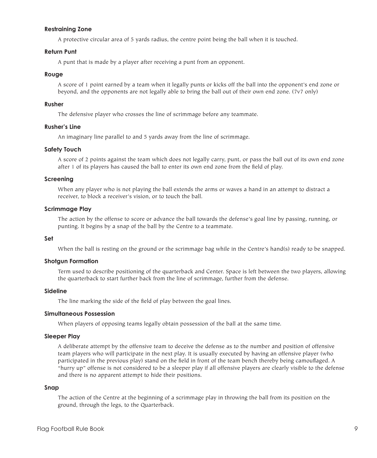#### **Restraining Zone**

 A protective circular area of 5 yards radius, the centre point being the ball when it is touched.

#### **Return Punt**

 A punt that is made by a player after receiving a punt from an opponent.

#### **Rouge**

 A score of 1 point earned by a team when it legally punts or kicks off the ball into the opponent's end zone or beyond, and the opponents are not legally able to bring the ball out of their own end zone. (7v7 only)

#### **Rusher**

 The defensive player who crosses the line of scrimmage before any teammate.

### **Rusher's Line**

 An imaginary line parallel to and 5 yards away from the line of scrimmage.

#### **Safety Touch**

 A score of 2 points against the team which does not legally carry, punt, or pass the ball out of its own end zone after 1 of its players has caused the ball to enter its own end zone from the field of play.

#### **Screening**

 When any player who is not playing the ball extends the arms or waves a hand in an attempt to distract a receiver, to block a receiver's vision, or to touch the ball.

#### **Scrimmage Play**

 The action by the offense to score or advance the ball towards the defense's goal line by passing, running, or punting. It begins by a snap of the ball by the Centre to a teammate.

#### **Set**

 When the ball is resting on the ground or the scrimmage bag while in the Centre's hand(s) ready to be snapped.

#### **Shotgun Formation**

 Term used to describe positioning of the quarterback and Center. Space is left between the two players, allowing the quarterback to start further back from the line of scrimmage, further from the defense.

#### **Sideline**

 The line marking the side of the field of play between the goal lines.

### **Simultaneous Possession**

 When players of opposing teams legally obtain possession of the ball at the same time.

#### **Sleeper Play**

 A deliberate attempt by the offensive team to deceive the defense as to the number and position of offensive team players who will participate in the next play. It is usually executed by having an offensive player (who participated in the previous play) stand on the field in front of the team bench thereby being camouflaged. A "hurry up" offense is not considered to be a sleeper play if all offensive players are clearly visible to the defense and there is no apparent attempt to hide their positions.

#### **Snap**

 The action of the Centre at the beginning of a scrimmage play in throwing the ball from its position on the ground, through the legs, to the Quarterback.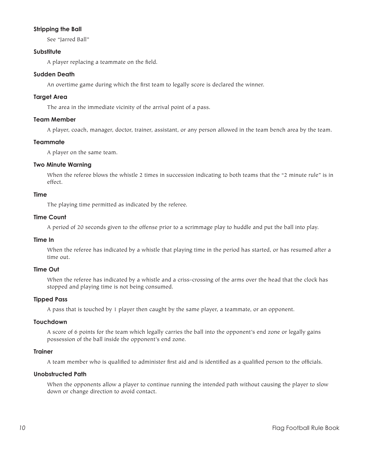# **Stripping the Ball**

 See "Jarred Ball"

# **Substitute**

 A player replacing a teammate on the field.

# **Sudden Death**

 An overtime game during which the first team to legally score is declared the winner.

# **Target Area**

 The area in the immediate vicinity of the arrival point of a pass.

# **Team Member**

 A player, coach, manager, doctor, trainer, assistant, or any person allowed in the team bench area by the team.

# **Teammate**

 A player on the same team.

# **Two Minute Warning**

 When the referee blows the whistle 2 times in succession indicating to both teams that the "2 minute rule" is in effect.

#### **Time**

 The playing time permitted as indicated by the referee.

# **Time Count**

 A period of 20 seconds given to the offense prior to a scrimmage play to huddle and put the ball into play.

#### **Time In**

 When the referee has indicated by a whistle that playing time in the period has started, or has resumed after a time out.

# **Time Out**

 When the referee has indicated by a whistle and a criss-crossing of the arms over the head that the clock has stopped and playing time is not being consumed.

# **Tipped Pass**

 A pass that is touched by 1 player then caught by the same player, a teammate, or an opponent.

# **Touchdown**

 A score of 6 points for the team which legally carries the ball into the opponent's end zone or legally gains possession of the ball inside the opponent's end zone.

#### **Trainer**

 A team member who is qualified to administer first aid and is identified as a qualified person to the officials.

# **Unobstructed Path**

 When the opponents allow a player to continue running the intended path without causing the player to slow down or change direction to avoid contact.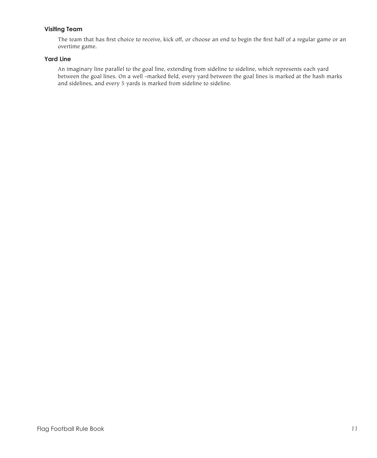# **Visiting Team**

 The team that has first choice to receive, kick off, or choose an end to begin the first half of a regular game or an overtime game.

# **Yard Line**

 An imaginary line parallel to the goal line, extending from sideline to sideline, which represents each yard between the goal lines. On a well -marked field, every yard between the goal lines is marked at the hash marks and sidelines, and every 5 yards is marked from sideline to sideline.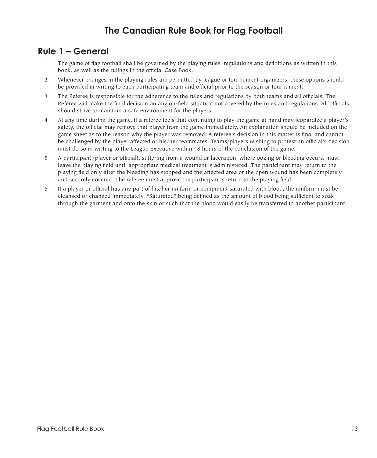# **The Canadian Rule Book for Flag Football**

# **Rule 1 – General**

- 1 The game of flag football shall be governed by the playing rules, regulations and definitions as written in this book, as well as the rulings in the official Case Book.
- 2 Whenever changes in the playing rules are permitted by league or tournament organizers, these options should be provided in writing to each participating team and official prior to the season or tournament.
- 3 The Referee is responsible for the adherence to the rules and regulations by both teams and all officials. The Referee will make the final decision on any on-field situation not covered by the rules and regulations. All officials should strive to maintain a safe environment for the players.
- 4 At any time during the game, if a referee feels that continuing to play the game at hand may jeopardize a player's safety, the official may remove that player from the game immediately. An explanation should be included on the game sheet as to the reason why the player was removed. A referee's decision in this matter is final and cannot be challenged by the player affected or his/her teammates. Teams/players wishing to protest an official's decision must do so in writing to the League Executive within 48 hours of the conclusion of the game.
- 5 A participant (player or official), suffering from a wound or laceration, where oozing or bleeding occurs, must leave the playing field until appropriate medical treatment is administered. The participant may return to the playing field only after the bleeding has stopped and the affected area or the open wound has been completely and securely covered. The referee must approve the participant's return to the playing field.
- 6 If a player or official has any part of his/her uniform or equipment saturated with blood, the uniform must be cleansed or changed immediately. "Saturated" being defined as the amount of blood being sufficient to soak through the garment and onto the skin or such that the blood would easily be transferred to another participant.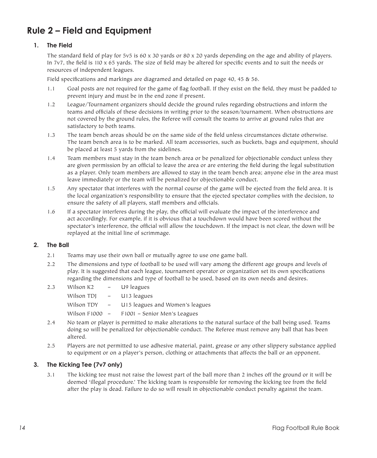# **Rule 2 – Field and Equipment**

# **1. The Field**

 The standard field of play for 5v5 is 60 x 30 yards or 80 x 20 yards depending on the age and ability of players. In 7v7, the field is 110 x 65 yards. The size of field may be altered for specific events and to suit the needs or resources of independent leagues.

 Field specifications and markings are diagramed and detailed on page 40, 45 & 56.

- 1.1 Goal posts are not required for the game of flag football. If they exist on the field, they must be padded to prevent injury and must be in the end zone if present.
- 1.2 League/Tournament organizers should decide the ground rules regarding obstructions and inform the teams and officials of these decisions in writing prior to the season/tournament. When obstructions are not covered by the ground rules, the Referee will consult the teams to arrive at ground rules that are satisfactory to both teams.
- 1.3 The team bench areas should be on the same side of the field unless circumstances dictate otherwise. The team bench area is to be marked. All team accessories, such as buckets, bags and equipment, should be placed at least 5 yards from the sidelines.
- 1.4 Team members must stay in the team bench area or be penalized for objectionable conduct unless they are given permission by an official to leave the area or are entering the field during the legal substitution as a player. Only team members are allowed to stay in the team bench area; anyone else in the area must leave immediately or the team will be penalized for objectionable conduct.
- 1.5 Any spectator that interferes with the normal course of the game will be ejected from the field area. It is the local organization's responsibility to ensure that the ejected spectator complies with the decision, to ensure the safety of all players, staff members and officials.
- 1.6 If a spectator interferes during the play, the official will evaluate the impact of the interference and act accordingly. For example, if it is obvious that a touchdown would have been scored without the spectator's interference, the official will allow the touchdown. If the impact is not clear, the down will be replayed at the initial line of scrimmage.

# **2. The Ball**

- 2.1 Teams may use their own ball or mutually agree to use one game ball.
- 2.2 The dimensions and type of football to be used will vary among the different age groups and levels of play. It is suggested that each league, tournament operator or organization set its own specifications regarding the dimensions and type of football to be used, based on its own needs and desires.
- 2.3 Wilson K2 U9 leagues

| Wilson TDJ       | $\sim$ $-$               | U <sub>13</sub> leagues         |
|------------------|--------------------------|---------------------------------|
| Wilson TDY       | $\overline{\phantom{0}}$ | U15 leagues and Women's leagues |
| Wilson $F1000 -$ |                          | F1001 - Senior Men's Leagues    |

- 2.4 No team or player is permitted to make alterations to the natural surface of the ball being used. Teams doing so will be penalized for objectionable conduct. The Referee must remove any ball that has been altered.
- 2.5 Players are not permitted to use adhesive material, paint, grease or any other slippery substance applied to equipment or on a player's person, clothing or attachments that affects the ball or an opponent.

# **3. The Kicking Tee (7v7 only)**

3.1 The kicking tee must not raise the lowest part of the ball more than 2 inches off the ground or it will be deemed 'illegal procedure.' The kicking team is responsible for removing the kicking tee from the field after the play is dead. Failure to do so will result in objectionable conduct penalty against the team.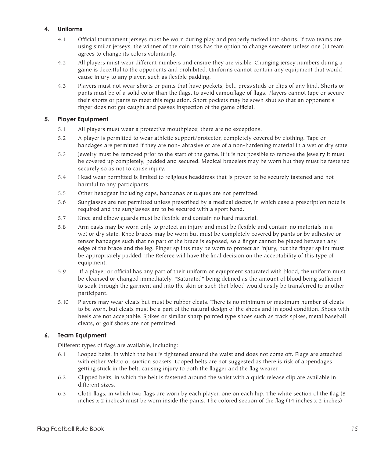# **4. Uniforms**

- 4.1 Official tournament jerseys must be worn during play and properly tucked into shorts. If two teams are using similar jerseys, the winner of the coin toss has the option to change sweaters unless one (1) team agrees to change its colors voluntarily.
- 4.2 All players must wear different numbers and ensure they are visible. Changing jersey numbers during a game is deceitful to the opponents and prohibited. Uniforms cannot contain any equipment that would cause injury to any player, such as flexible padding.
- 4.3 Players must not wear shorts or pants that have pockets, belt, press studs or clips of any kind. Shorts or pants must be of a solid color than the flags, to avoid camouflage of flags. Players cannot tape or secure their shorts or pants to meet this regulation. Short pockets may be sown shut so that an opponent's finger does not get caught and passes inspection of the game official.

# **5. Player Equipment**

- 5.1 All players must wear a protective mouthpiece; there are no exceptions.
- 5.2 A player is permitted to wear athletic support/protector, completely covered by clothing. Tape or bandages are permitted if they are non- abrasive or are of a non-hardening material in a wet or dry state.
- 5.3 Jewelry must be removed prior to the start of the game. If it is not possible to remove the jewelry it must be covered up completely, padded and secured. Medical bracelets may be worn but they must be fastened securely so as not to cause injury.
- 5.4 Head wear permitted is limited to religious headdress that is proven to be securely fastened and not harmful to any participants.
- 5.5 Other headgear including caps, bandanas or tuques are not permitted.
- 5.6 Sunglasses are not permitted unless prescribed by a medical doctor, in which case a prescription note is required and the sunglasses are to be secured with a sport band.
- 5.7 Knee and elbow guards must be flexible and contain no hard material.
- 5.8 Arm casts may be worn only to protect an injury and must be flexible and contain no materials in a wet or dry state. Knee braces may be worn but must be completely covered by pants or by adhesive or tensor bandages such that no part of the brace is exposed, so a finger cannot be placed between any edge of the brace and the leg. Finger splints may be worn to protect an injury, but the finger splint must be appropriately padded. The Referee will have the final decision on the acceptability of this type of equipment.
- 5.9 If a player or official has any part of their uniform or equipment saturated with blood, the uniform must be cleansed or changed immediately. "Saturated" being defined as the amount of blood being sufficient to soak through the garment and into the skin or such that blood would easily be transferred to another participant.
- 5.10 Players may wear cleats but must be rubber cleats. There is no minimum or maximum number of cleats to be worn, but cleats must be a part of the natural design of the shoes and in good condition. Shoes with heels are not acceptable. Spikes or similar sharp pointed type shoes such as track spikes, metal baseball cleats, or golf shoes are not permitted.

# **6. Team Equipment**

Different types of flags are available, including:

- 6.1 Looped belts, in which the belt is tightened around the waist and does not come off. Flags are attached with either Velcro or suction sockets. Looped belts are not suggested as there is risk of appendages getting stuck in the belt, causing injury to both the flagger and the flag wearer.
- 6.2 Clipped belts, in which the belt is fastened around the waist with a quick release clip are available in different sizes.
- 6.3 Cloth flags, in which two flags are worn by each player, one on each hip. The white section of the flag (8 inches x 2 inches) must be worn inside the pants. The colored section of the flag (14 inches x 2 inches)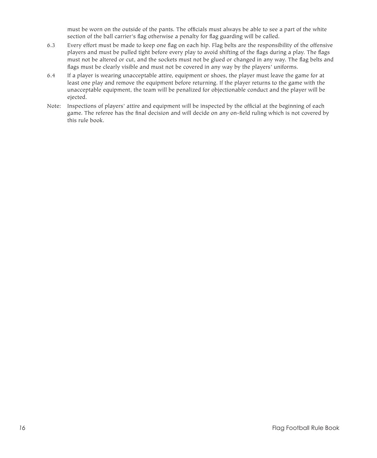must be worn on the outside of the pants. The officials must always be able to see a part of the white section of the ball carrier's flag otherwise a penalty for flag guarding will be called.

- 6.3 Every effort must be made to keep one flag on each hip. Flag belts are the responsibility of the offensive players and must be pulled tight before every play to avoid shifting of the flags during a play. The flags must not be altered or cut, and the sockets must not be glued or changed in any way. The flag belts and flags must be clearly visible and must not be covered in any way by the players' uniforms.
- 6.4 If a player is wearing unacceptable attire, equipment or shoes, the player must leave the game for at least one play and remove the equipment before returning. If the player returns to the game with the unacceptable equipment, the team will be penalized for objectionable conduct and the player will be ejected.
- Note: Inspections of players' attire and equipment will be inspected by the official at the beginning of each game. The referee has the final decision and will decide on any on-field ruling which is not covered by this rule book.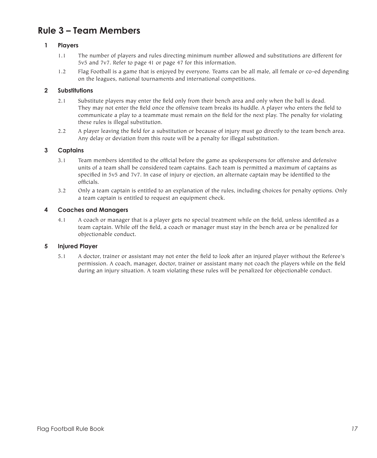# **Rule 3 – Team Members**

# **1 Players**

- 1.1 The number of players and rules directing minimum number allowed and substitutions are different for 5v5 and 7v7. Refer to page 41 or page 47 for this information.
- 1.2 Flag Football is a game that is enjoyed by everyone. Teams can be all male, all female or co-ed depending on the leagues, national tournaments and international competitions.

# **2 Substitutions**

- 2.1 Substitute players may enter the field only from their bench area and only when the ball is dead. They may not enter the field once the offensive team breaks its huddle. A player who enters the field to communicate a play to a teammate must remain on the field for the next play. The penalty for violating these rules is illegal substitution.
- 2.2 A player leaving the field for a substitution or because of injury must go directly to the team bench area. Any delay or deviation from this route will be a penalty for illegal substitution.

# **3 Captains**

- 3.1 Team members identified to the official before the game as spokespersons for offensive and defensive units of a team shall be considered team captains. Each team is permitted a maximum of captains as specified in 5v5 and 7v7. In case of injury or ejection, an alternate captain may be identified to the officials.
- 3.2 Only a team captain is entitled to an explanation of the rules, including choices for penalty options. Only a team captain is entitled to request an equipment check.

# **4 Coaches and Managers**

4.1 A coach or manager that is a player gets no special treatment while on the field, unless identified as a team captain. While off the field, a coach or manager must stay in the bench area or be penalized for objectionable conduct.

# **5 Injured Player**

5.1 A doctor, trainer or assistant may not enter the field to look after an injured player without the Referee's permission. A coach, manager, doctor, trainer or assistant many not coach the players while on the field during an injury situation. A team violating these rules will be penalized for objectionable conduct.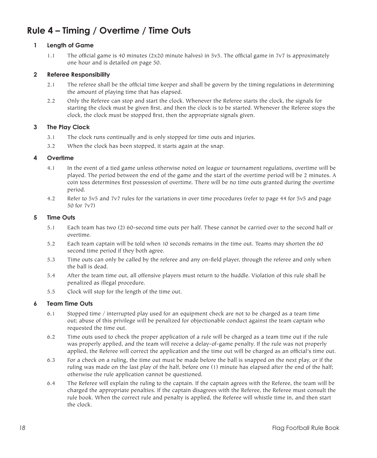# **Rule 4 – Timing / Overtime / Time Outs**

# **1 Length of Game**

1.1 The official game is 40 minutes (2x20 minute halves) in 5v5. The official game in 7v7 is approximately one hour and is detailed on page 50.

# **2 Referee Responsibility**

- 2.1 The referee shall be the official time keeper and shall be govern by the timing regulations in determining the amount of playing time that has elapsed.
- 2.2 Only the Referee can stop and start the clock. Whenever the Referee starts the clock, the signals for starting the clock must be given first, and then the clock is to be started. Whenever the Referee stops the clock, the clock must be stopped first, then the appropriate signals given.

# **3 The Play Clock**

- 3.1 The clock runs continually and is only stopped for time outs and injuries.
- 3.2 When the clock has been stopped, it starts again at the snap.

# **4 Overtime**

- 4.1 In the event of a tied game unless otherwise noted on league or tournament regulations, overtime will be played. The period between the end of the game and the start of the overtime period will be 2 minutes. A coin toss determines first possession of overtime. There will be no time outs granted during the overtime period.
- 4.2 Refer to 5v5 and 7v7 rules for the variations in over time procedures (refer to page 44 for 5v5 and page 50 for 7v7)

#### **5 Time Outs**

- 5.1 Each team has two (2) 60-second time outs per half. These cannot be carried over to the second half or overtime.
- 5.2 Each team captain will be told when 10 seconds remains in the time out. Teams may shorten the 60 second time period if they both agree.
- 5.3 Time outs can only be called by the referee and any on-field player, through the referee and only when the ball is dead.
- 5.4 After the team time out, all offensive players must return to the huddle. Violation of this rule shall be penalized as illegal procedure.
- 5.5 Clock will stop for the length of the time out.

# **6 Team Time Outs**

- 6.1 Stopped time / interrupted play used for an equipment check are not to be charged as a team time out; abuse of this privilege will be penalized for objectionable conduct against the team captain who requested the time out.
- 6.2 Time outs used to check the proper application of a rule will be charged as a team time out if the rule was properly applied, and the team will receive a delay-of-game penalty. If the rule was not properly applied, the Referee will correct the application and the time out will be charged as an official's time out.
- 6.3 For a check on a ruling, the time out must be made before the ball is snapped on the next play, or if the ruling was made on the last play of the half, before one (1) minute has elapsed after the end of the half; otherwise the rule application cannot be questioned.
- 6.4 The Referee will explain the ruling to the captain. If the captain agrees with the Referee, the team will be charged the appropriate penalties. If the captain disagrees with the Referee, the Referee must consult the rule book. When the correct rule and penalty is applied, the Referee will whistle time in, and then start the clock.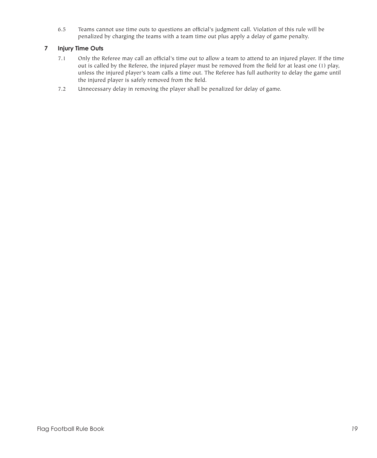6.5 Teams cannot use time outs to questions an official's judgment call. Violation of this rule will be penalized by charging the teams with a team time out plus apply a delay of game penalty.

# **7 Injury Time Outs**

- 7.1 Only the Referee may call an official's time out to allow a team to attend to an injured player. If the time out is called by the Referee, the injured player must be removed from the field for at least one (1) play, unless the injured player's team calls a time out. The Referee has full authority to delay the game until the injured player is safely removed from the field.
- 7.2 Unnecessary delay in removing the player shall be penalized for delay of game.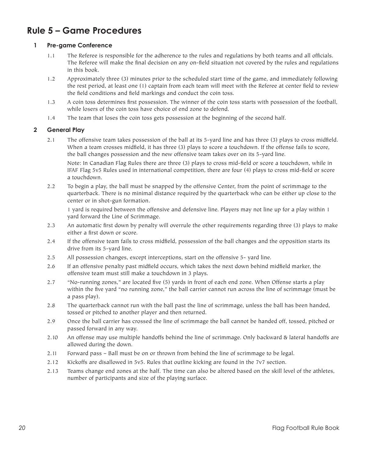# **Rule 5 – Game Procedures**

# **1 Pre-game Conference**

- 1.1 The Referee is responsible for the adherence to the rules and regulations by both teams and all officials. The Referee will make the final decision on any on-field situation not covered by the rules and regulations in this book.
- 1.2 Approximately three (3) minutes prior to the scheduled start time of the game, and immediately following the rest period, at least one (1) captain from each team will meet with the Referee at center field to review the field conditions and field markings and conduct the coin toss.
- 1.3 A coin toss determines first possession. The winner of the coin toss starts with possession of the football, while losers of the coin toss have choice of end zone to defend.
- 1.4 The team that loses the coin toss gets possession at the beginning of the second half.

# **2 General Play**

2.1 The offensive team takes possession of the ball at its 5-yard line and has three (3) plays to cross midfield. When a team crosses midfield, it has three (3) plays to score a touchdown. If the offense fails to score, the ball changes possession and the new offensive team takes over on its 5-yard line.

 Note: In Canadian Flag Rules there are three (3) plays to cross mid-field or score a touchdown, while in IFAF Flag 5v5 Rules used in international competition, there are four (4) plays to cross mid-field or score a touchdown.

2.2 To begin a play, the ball must be snapped by the offensive Center, from the point of scrimmage to the quarterback. There is no minimal distance required by the quarterback who can be either up close to the center or in shot-gun formation.

 1 yard is required between the offensive and defensive line. Players may not line up for a play within 1 yard forward the Line of Scrimmage.

- 2.3 An automatic first down by penalty will overrule the other requirements regarding three (3) plays to make either a first down or score.
- 2.4 If the offensive team fails to cross midfield, possession of the ball changes and the opposition starts its drive from its 5-yard line.
- 2.5 All possession changes, except interceptions, start on the offensive 5- yard line.
- 2.6 If an offensive penalty past midfield occurs, which takes the next down behind midfield marker, the offensive team must still make a touchdown in 3 plays.
- 2.7 "No-running zones," are located five (5) yards in front of each end zone. When Offense starts a play within the five yard "no running zone," the ball carrier cannot run across the line of scrimmage (must be a pass play).
- 2.8 The quarterback cannot run with the ball past the line of scrimmage, unless the ball has been handed, tossed or pitched to another player and then returned.
- 2.9 Once the ball carrier has crossed the line of scrimmage the ball cannot be handed off, tossed, pitched or passed forward in any way.
- 2.10 An offense may use multiple handoffs behind the line of scrimmage. Only backward & lateral handoffs are allowed during the down.
- 2.11 Forward pass Ball must be on or thrown from behind the line of scrimmage to be legal.
- 2.12 Kickoffs are disallowed in 5v5. Rules that outline kicking are found in the 7v7 section.
- 2.13 Teams change end zones at the half. The time can also be altered based on the skill level of the athletes, number of participants and size of the playing surface.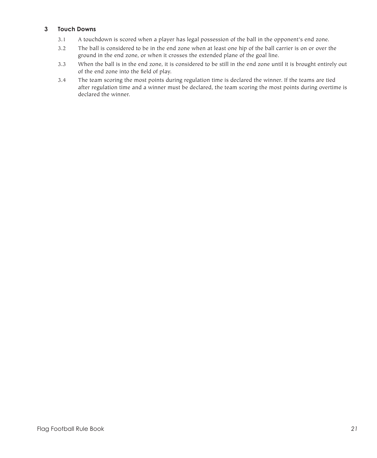# **3 Touch Downs**

- 3.1 A touchdown is scored when a player has legal possession of the ball in the opponent's end zone.
- 3.2 The ball is considered to be in the end zone when at least one hip of the ball carrier is on or over the ground in the end zone, or when it crosses the extended plane of the goal line.
- 3.3 When the ball is in the end zone, it is considered to be still in the end zone until it is brought entirely out of the end zone into the field of play.
- 3.4 The team scoring the most points during regulation time is declared the winner. If the teams are tied after regulation time and a winner must be declared, the team scoring the most points during overtime is declared the winner.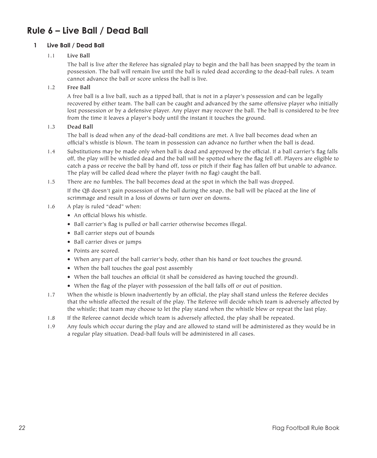# **Rule 6 – Live Ball / Dead Ball**

# **1 Live Ball / Dead Ball**

# 1.1 **Live Ball**

 The ball is live after the Referee has signaled play to begin and the ball has been snapped by the team in possession. The ball will remain live until the ball is ruled dead according to the dead-ball rules. A team cannot advance the ball or score unless the ball is live.

# 1.2 **Free Ball**

 A free ball is a live ball, such as a tipped ball, that is not in a player's possession and can be legally recovered by either team. The ball can be caught and advanced by the same offensive player who initially lost possession or by a defensive player. Any player may recover the ball. The ball is considered to be free from the time it leaves a player's body until the instant it touches the ground.

# 1.3 **Dead Ball**

 The ball is dead when any of the dead-ball conditions are met. A live ball becomes dead when an official's whistle is blown. The team in possession can advance no further when the ball is dead.

- 1.4 Substitutions may be made only when ball is dead and approved by the official. If a ball carrier's flag falls off, the play will be whistled dead and the ball will be spotted where the flag fell off. Players are eligible to catch a pass or receive the ball by hand off, toss or pitch if their flag has fallen off but unable to advance. The play will be called dead where the player (with no flag) caught the ball.
- 1.5 There are no fumbles. The ball becomes dead at the spot in which the ball was dropped.

 If the QB doesn't gain possession of the ball during the snap, the ball will be placed at the line of scrimmage and result in a loss of downs or turn over on downs.

- 1.6 A play is ruled "dead" when:
	- An official blows his whistle.
	- Ball carrier's flag is pulled or ball carrier otherwise becomes illegal.
	- Ball carrier steps out of bounds
	- • Ball carrier dives or jumps
	- • Points are scored.
	- • When any part of the ball carrier's body, other than his hand or foot touches the ground.
	- When the ball touches the goal post assembly
	- • When the ball touches an official (it shall be considered as having touched the ground).
	- When the flag of the player with possession of the ball falls off or out of position.
- 1.7 When the whistle is blown inadvertently by an official, the play shall stand unless the Referee decides that the whistle affected the result of the play. The Referee will decide which team is adversely affected by the whistle; that team may choose to let the play stand when the whistle blew or repeat the last play.
- 1.8 If the Referee cannot decide which team is adversely affected, the play shall be repeated.
- 1.9 Any fouls which occur during the play and are allowed to stand will be administered as they would be in a regular play situation. Dead-ball fouls will be administered in all cases.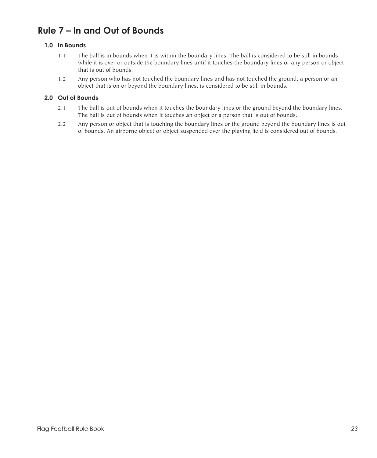# **Rule 7 – In and Out of Bounds**

# **1.0 In Bounds**

- 1.1 The ball is in bounds when it is within the boundary lines. The ball is considered to be still in bounds while it is over or outside the boundary lines until it touches the boundary lines or any person or object that is out of bounds.
- 1.2 Any person who has not touched the boundary lines and has not touched the ground, a person or an object that is on or beyond the boundary lines, is considered to be still in bounds.

# **2.0 Out of Bounds**

- 2.1 The ball is out of bounds when it touches the boundary lines or the ground beyond the boundary lines. The ball is out of bounds when it touches an object or a person that is out of bounds.
- 2.2 Any person or object that is touching the boundary lines or the ground beyond the boundary lines is out of bounds. An airborne object or object suspended over the playing field is considered out of bounds.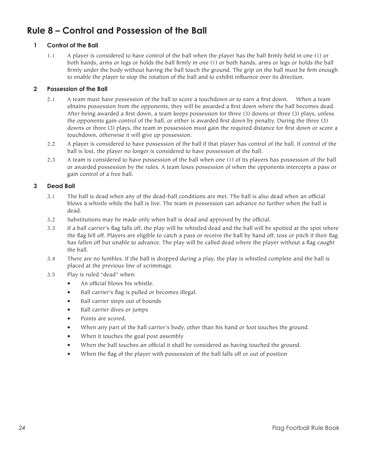# **Rule 8 – Control and Possession of the Ball**

# **1 Control of the Ball**

1.1 A player is considered to have control of the ball when the player has the ball firmly held in one (1) or both hands, arms or legs or holds the ball firmly in one (1) or both hands, arms or legs or holds the ball firmly under the body without having the ball touch the ground. The grip on the ball must be firm enough to enable the player to stop the rotation of the ball and to exhibit influence over its direction.

# **2 Possession of the Ball**

- 2.1 A team must have possession of the ball to score a touchdown or to earn a first down. When a team obtains possession from the opponents, they will be awarded a first down where the ball becomes dead. After being awarded a first down, a team keeps possession for three (3) downs or three (3) plays, unless the opponents gain control of the ball, or either is awarded first down by penalty. During the three (3) downs or three (3) plays, the team in possession must gain the required distance for first down or score a touchdown, otherwise it will give up possession.
- 2.2 A player is considered to have possession of the ball if that player has control of the ball. If control of the ball is lost, the player no longer is considered to have possession of the ball.
- 2.3 A team is considered to have possession of the ball when one (1) of its players has possession of the ball or awarded possession by the rules. A team loses possession of when the opponents intercepts a pass or gain control of a free ball.

# **3 Dead Ball**

- 3.1 The ball is dead when any of the dead-ball conditions are met. The ball is also dead when an official blows a whistle while the ball is live. The team in possession can advance no further when the ball is dead.
- 3.2 Substitutions may be made only when ball is dead and approved by the official.
- 3.3 If a ball carrier's flag falls off, the play will be whistled dead and the ball will be spotted at the spot where the flag fell off. Players are eligible to catch a pass or receive the ball by hand off, toss or pitch if their flag has fallen off but unable to advance. The play will be called dead where the player without a flag caught the ball.
- 3.4 There are no fumbles. If the ball is dropped during a play, the play is whistled complete and the ball is placed at the previous line of scrimmage.
- 3.5 Play is ruled "dead" when:
	- An official blows his whistle.
	- • Ball carrier's flag is pulled or becomes illegal.
	- • Ball carrier steps out of bounds
	- • Ball carrier dives or jumps
	- • Points are scored.
	- • When any part of the ball carrier's body, other than his hand or foot touches the ground.
	- When it touches the goal post assembly
	- When the ball touches an official it shall be considered as having touched the ground.
	- When the flag of the player with possession of the ball falls off or out of position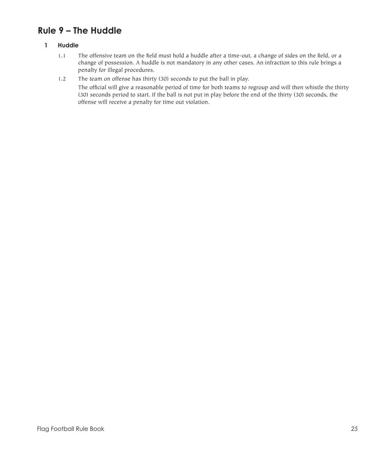# **Rule 9 – The Huddle**

# **1 Huddle**

- 1.1 The offensive team on the field must hold a huddle after a time-out, a change of sides on the field, or a change of possession. A huddle is not mandatory in any other cases. An infraction to this rule brings a penalty for illegal procedures.
- 1.2 The team on offense has thirty (30) seconds to put the ball in play.

 The official will give a reasonable period of time for both teams to regroup and will then whistle the thirty (30) seconds period to start. If the ball is not put in play before the end of the thirty (30) seconds, the offense will receive a penalty for time out violation.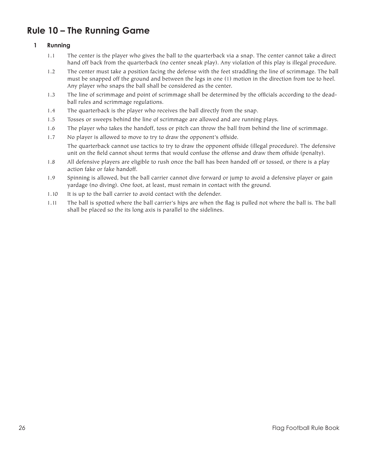# **Rule 10 – The Running Game**

# **1 Running**

- 1.1 The center is the player who gives the ball to the quarterback via a snap. The center cannot take a direct hand off back from the quarterback (no center sneak play). Any violation of this play is illegal procedure.
- 1.2 The center must take a position facing the defense with the feet straddling the line of scrimmage. The ball must be snapped off the ground and between the legs in one (1) motion in the direction from toe to heel. Any player who snaps the ball shall be considered as the center.
- 1.3 The line of scrimmage and point of scrimmage shall be determined by the officials according to the deadball rules and scrimmage regulations.
- 1.4 The quarterback is the player who receives the ball directly from the snap.
- 1.5 Tosses or sweeps behind the line of scrimmage are allowed and are running plays.
- 1.6 The player who takes the handoff, toss or pitch can throw the ball from behind the line of scrimmage.
- 1.7 No player is allowed to move to try to draw the opponent's offside. The quarterback cannot use tactics to try to draw the opponent offside (illegal procedure). The defensive unit on the field cannot shout terms that would confuse the offense and draw them offside (penalty).
- 1.8 All defensive players are eligible to rush once the ball has been handed off or tossed, or there is a play action fake or fake handoff.
- 1.9 Spinning is allowed, but the ball carrier cannot dive forward or jump to avoid a defensive player or gain yardage (no diving). One foot, at least, must remain in contact with the ground.
- 1.10 It is up to the ball carrier to avoid contact with the defender.
- 1.11 The ball is spotted where the ball carrier's hips are when the flag is pulled not where the ball is. The ball shall be placed so the its long axis is parallel to the sidelines.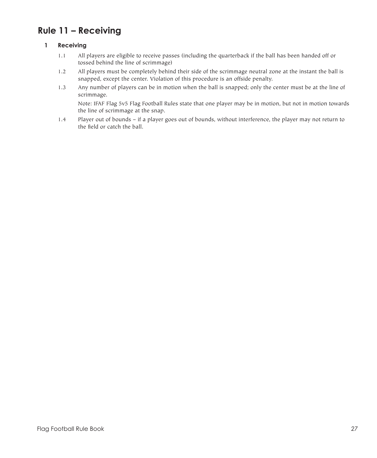# **Rule 11 – Receiving**

# **1 Receiving**

- 1.1 All players are eligible to receive passes (including the quarterback if the ball has been handed off or tossed behind the line of scrimmage)
- 1.2 All players must be completely behind their side of the scrimmage neutral zone at the instant the ball is snapped, except the center. Violation of this procedure is an offside penalty.
- 1.3 Any number of players can be in motion when the ball is snapped; only the center must be at the line of scrimmage.

 Note: IFAF Flag 5v5 Flag Football Rules state that one player may be in motion, but not in motion towards the line of scrimmage at the snap.

1.4 Player out of bounds – if a player goes out of bounds, without interference, the player may not return to the field or catch the ball.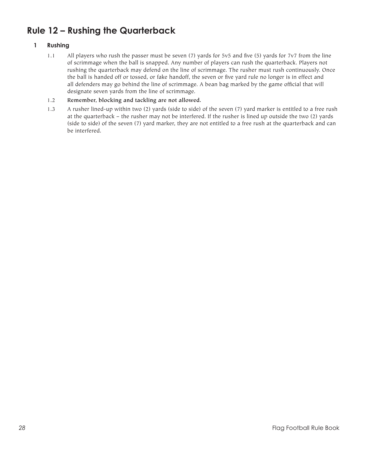# **Rule 12 – Rushing the Quarterback**

# **1 Rushing**

- 1.1 All players who rush the passer must be seven (7) yards for 5v5 and five (5) yards for 7v7 from the line of scrimmage when the ball is snapped. Any number of players can rush the quarterback. Players not rushing the quarterback may defend on the line of scrimmage. The rusher must rush continuously. Once the ball is handed off or tossed, or fake handoff, the seven or five yard rule no longer is in effect and all defenders may go behind the line of scrimmage. A bean bag marked by the game official that will designate seven yards from the line of scrimmage.
- 1.2 **Remember, blocking and tackling are not allowed.**
- 1.3 A rusher lined-up within two (2) yards (side to side) of the seven (7) yard marker is entitled to a free rush at the quarterback – the rusher may not be interfered. If the rusher is lined up outside the two (2) yards (side to side) of the seven (7) yard marker, they are not entitled to a free rush at the quarterback and can be interfered.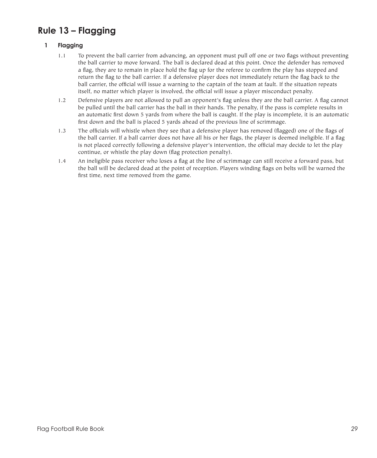# **Rule 13 – Flagging**

# **1 Flagging**

- 1.1 To prevent the ball carrier from advancing, an opponent must pull off one or two flags without preventing the ball carrier to move forward. The ball is declared dead at this point. Once the defender has removed a flag, they are to remain in place hold the flag up for the referee to confirm the play has stopped and return the flag to the ball carrier. If a defensive player does not immediately return the flag back to the ball carrier, the official will issue a warning to the captain of the team at fault. If the situation repeats itself, no matter which player is involved, the official will issue a player misconduct penalty.
- 1.2 Defensive players are not allowed to pull an opponent's flag unless they are the ball carrier. A flag cannot be pulled until the ball carrier has the ball in their hands. The penalty, if the pass is complete results in an automatic first down 5 yards from where the ball is caught. If the play is incomplete, it is an automatic first down and the ball is placed 5 yards ahead of the previous line of scrimmage.
- 1.3 The officials will whistle when they see that a defensive player has removed (flagged) one of the flags of the ball carrier. If a ball carrier does not have all his or her flags, the player is deemed ineligible. If a flag is not placed correctly following a defensive player's intervention, the official may decide to let the play continue, or whistle the play down (flag protection penalty).
- 1.4 An ineligible pass receiver who loses a flag at the line of scrimmage can still receive a forward pass, but the ball will be declared dead at the point of reception. Players winding flags on belts will be warned the first time, next time removed from the game.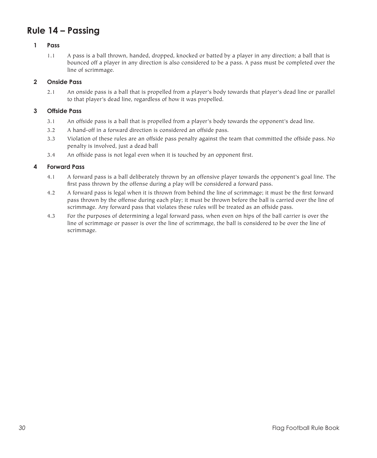# **Rule 14 – Passing**

## **1 Pass**

1.1 A pass is a ball thrown, handed, dropped, knocked or batted by a player in any direction; a ball that is bounced off a player in any direction is also considered to be a pass. A pass must be completed over the line of scrimmage.

# **2 Onside Pass**

2.1 An onside pass is a ball that is propelled from a player's body towards that player's dead line or parallel to that player's dead line, regardless of how it was propelled.

### **3 Offside Pass**

- 3.1 An offside pass is a ball that is propelled from a player's body towards the opponent's dead line.
- 3.2 A hand-off in a forward direction is considered an offside pass.
- 3.3 Violation of these rules are an offside pass penalty against the team that committed the offside pass. No penalty is involved, just a dead ball
- 3.4 An offside pass is not legal even when it is touched by an opponent first.

### **4 Forward Pass**

- 4.1 A forward pass is a ball deliberately thrown by an offensive player towards the opponent's goal line. The first pass thrown by the offense during a play will be considered a forward pass.
- 4.2 A forward pass is legal when it is thrown from behind the line of scrimmage; it must be the first forward pass thrown by the offense during each play; it must be thrown before the ball is carried over the line of scrimmage. Any forward pass that violates these rules will be treated as an offside pass.
- 4.3 For the purposes of determining a legal forward pass, when even on hips of the ball carrier is over the line of scrimmage or passer is over the line of scrimmage, the ball is considered to be over the line of scrimmage.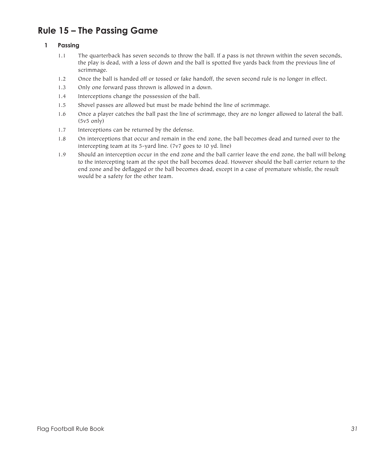# **Rule 15 – The Passing Game**

# **1 Passing**

- 1.1 The quarterback has seven seconds to throw the ball. If a pass is not thrown within the seven seconds, the play is dead, with a loss of down and the ball is spotted five yards back from the previous line of scrimmage.
- 1.2 Once the ball is handed off or tossed or fake handoff, the seven second rule is no longer in effect.
- 1.3 Only one forward pass thrown is allowed in a down.
- 1.4 Interceptions change the possession of the ball.
- 1.5 Shovel passes are allowed but must be made behind the line of scrimmage.
- 1.6 Once a player catches the ball past the line of scrimmage, they are no longer allowed to lateral the ball. (5v5 only)
- 1.7 Interceptions can be returned by the defense.
- 1.8 On interceptions that occur and remain in the end zone, the ball becomes dead and turned over to the intercepting team at its 5-yard line. (7v7 goes to 10 yd. line)
- 1.9 Should an interception occur in the end zone and the ball carrier leave the end zone, the ball will belong to the intercepting team at the spot the ball becomes dead. However should the ball carrier return to the end zone and be deflagged or the ball becomes dead, except in a case of premature whistle, the result would be a safety for the other team.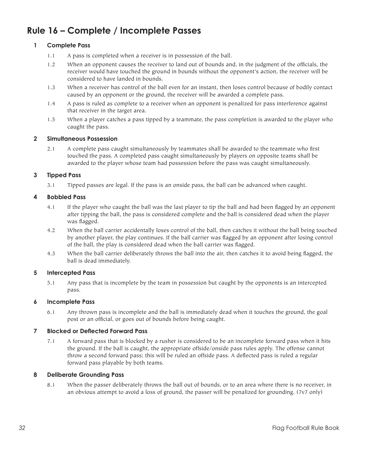# **Rule 16 – Complete / Incomplete Passes**

# **1 Complete Pass**

- 1.1 A pass is completed when a receiver is in possession of the ball.
- 1.2 When an opponent causes the receiver to land out of bounds and, in the judgment of the officials, the receiver would have touched the ground in bounds without the opponent's action, the receiver will be considered to have landed in bounds.
- 1.3 When a receiver has control of the ball even for an instant, then loses control because of bodily contact caused by an opponent or the ground, the receiver will be awarded a complete pass.
- 1.4 A pass is ruled as complete to a receiver when an opponent is penalized for pass interference against that receiver in the target area.
- 1.5 When a player catches a pass tipped by a teammate, the pass completion is awarded to the player who caught the pass.

#### **2 Simultaneous Possession**

2.1 A complete pass caught simultaneously by teammates shall be awarded to the teammate who first touched the pass. A completed pass caught simultaneously by players on opposite teams shall be awarded to the player whose team had possession before the pass was caught simultaneously.

#### **3 Tipped Pass**

3.1 Tipped passes are legal. If the pass is an onside pass, the ball can be advanced when caught.

#### **4 Bobbled Pass**

- 4.1 If the player who caught the ball was the last player to tip the ball and had been flagged by an opponent after tipping the ball, the pass is considered complete and the ball is considered dead when the player was flagged.
- 4.2 When the ball carrier accidentally loses control of the ball, then catches it without the ball being touched by another player, the play continues. If the ball carrier was flagged by an opponent after losing control of the ball, the play is considered dead when the ball carrier was flagged.
- 4.3 When the ball carrier deliberately throws the ball into the air, then catches it to avoid being flagged, the ball is dead immediately.

#### **5 Intercepted Pass**

5.1 Any pass that is incomplete by the team in possession but caught by the opponents is an intercepted pass.

#### **6 Incomplete Pass**

6.1 Any thrown pass is incomplete and the ball is immediately dead when it touches the ground, the goal post or an official, or goes out of bounds before being caught.

#### **7 Blocked or Deflected Forward Pass**

7.1 A forward pass that is blocked by a rusher is considered to be an incomplete forward pass when it hits the ground. If the ball is caught, the appropriate offside/onside pass rules apply. The offense cannot throw a second forward pass; this will be ruled an offside pass. A deflected pass is ruled a regular forward pass playable by both teams.

#### **8 Deliberate Grounding Pass**

8.1 When the passer deliberately throws the ball out of bounds, or to an area where there is no receiver, in an obvious attempt to avoid a loss of ground, the passer will be penalized for grounding. (7v7 only)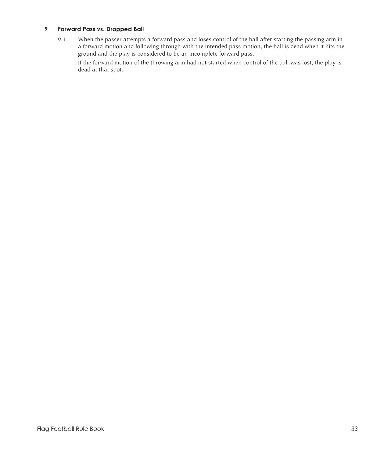# **9 Forward Pass vs. Dropped Ball**

9.1 When the passer attempts a forward pass and loses control of the ball after starting the passing arm in a forward motion and following through with the intended pass motion, the ball is dead when it hits the ground and the play is considered to be an incomplete forward pass.

 If the forward motion of the throwing arm had not started when control of the ball was lost, the play is dead at that spot.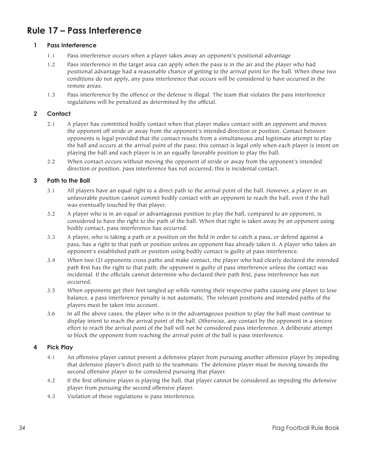# **Rule 17 – Pass Interference**

## **1 Pass Interference**

- 1.1 Pass interference occurs when a player takes away an opponent's positional advantage
- 1.2 Pass interference in the target area can apply when the pass is in the air and the player who had positional advantage had a reasonable chance of getting to the arrival point for the ball. When these two conditions do not apply, any pass interference that occurs will be considered to have occurred in the remote areas.
- 1.3 Pass interference by the offence or the defense is illegal. The team that violates the pass interference regulations will be penalized as determined by the official.

# **2 Contact**

- 2.1 A player has committed bodily contact when that player makes contact with an opponent and moves the opponent off stride or away from the opponent's intended direction or position. Contact between opponents is legal provided that the contact results from a simultaneous and legitimate attempt to play the ball and occurs at the arrival point of the pass; this contact is legal only when each player is intent on playing the ball and each player is in an equally favorable position to play the ball.
- 2.2 When contact occurs without moving the opponent of stride or away from the opponent's intended direction or position, pass interference has not occurred; this is incidental contact.

### **3 Path to the Ball**

- 3.1 All players have an equal right to a direct path to the arrival point of the ball. However, a player in an unfavorable position cannot commit bodily contact with an opponent to reach the ball, even if the ball was eventually touched by that player.
- 3.2 A player who is in an equal or advantageous position to play the ball, compared to an opponent, is considered to have the right to the path of the ball. When that right is taken away by an opponent using bodily contact, pass interference has occurred.
- 3.3 A player, who is taking a path or a position on the field in order to catch a pass, or defend against a pass, has a right to that path or position unless an opponent has already taken it. A player who takes an opponent's established path or position using bodily contact is guilty of pass interference.
- 3.4 When two (2) opponents cross paths and make contact, the player who had clearly declared the intended path first has the right to that path; the opponent is guilty of pass interference unless the contact was incidental. If the officials cannot determine who declared their path first, pass interference has not occurred.
- 3.5 When opponents get their feet tangled up while running their respective paths causing one player to lose balance, a pass interference penalty is not automatic. The relevant positions and intended paths of the players must be taken into account.
- 3.6 In all the above cases, the player who is in the advantageous position to play the ball must continue to display intent to reach the arrival point of the ball. Otherwise, any contact by the opponent in a sincere effort to reach the arrival point of the ball will not be considered pass interference. A deliberate attempt to block the opponent from reaching the arrival point of the ball is pass interference.

#### **4 Pick Play**

- 4.1 An offensive player cannot prevent a defensive player from pursuing another offensive player by impeding that defensive player's direct path to the teammate. The defensive player must be moving towards the second offensive player to be considered pursuing that player.
- 4.2 If the first offensive player is playing the ball, that player cannot be considered as impeding the defensive player from pursuing the second offensive player.
- 4.3 Violation of these regulations is pass interference.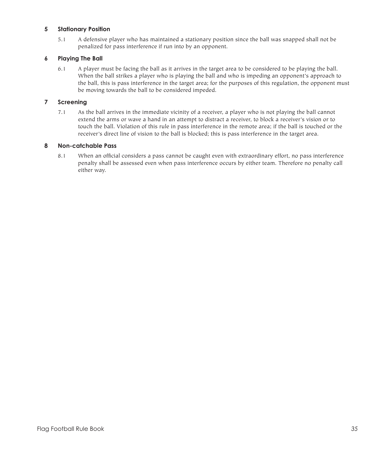### **5 Stationary Position**

5.1 A defensive player who has maintained a stationary position since the ball was snapped shall not be penalized for pass interference if run into by an opponent.

# **6 Playing The Ball**

6.1 A player must be facing the ball as it arrives in the target area to be considered to be playing the ball. When the ball strikes a player who is playing the ball and who is impeding an opponent's approach to the ball, this is pass interference in the target area; for the purposes of this regulation, the opponent must be moving towards the ball to be considered impeded.

### **7 Screening**

7.1 As the ball arrives in the immediate vicinity of a receiver, a player who is not playing the ball cannot extend the arms or wave a hand in an attempt to distract a receiver, to block a receiver's vision or to touch the ball. Violation of this rule in pass interference in the remote area; if the ball is touched or the receiver's direct line of vision to the ball is blocked; this is pass interference in the target area.

### **8 Non-catchable Pass**

8.1 When an official considers a pass cannot be caught even with extraordinary effort, no pass interference penalty shall be assessed even when pass interference occurs by either team. Therefore no penalty call either way.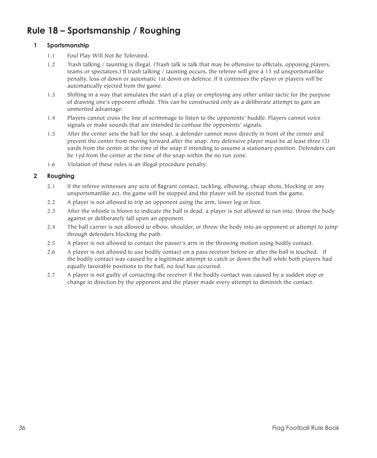# **Rule 18 – Sportsmanship / Roughing**

# **1 Sportsmanship**

- 1.1 Foul Play Will Not Be Tolerated.
- 1.2 Trash talking / taunting is illegal. (Trash talk is talk that may be offensive to officials, opposing players, teams or spectators.) If trash talking / taunting occurs, the referee will give a 15 yd unsportsmanlike penalty, loss of down or automatic 1st down on defence. If it continues the player or players will be automatically ejected from the game.
- 1.3 Shifting in a way that simulates the start of a play or employing any other unfair tactic for the purpose of drawing one's opponent offside. This can be constructed only as a deliberate attempt to gain an unmerited advantage.
- 1.4 Players cannot cross the line of scrimmage to listen to the opponents' huddle. Players cannot voice signals or make sounds that are intended to confuse the opponents' signals.
- 1.5 After the center sets the ball for the snap, a defender cannot move directly in front of the center and prevent the center from moving forward after the snap. Any defensive player must be at least three (3) yards from the center at the time of the snap if intending to assume a stationary position. Defenders can be 1yd from the center at the time of the snap within the no run zone.
- 1.6 Violation of these rules is an illegal procedure penalty.

# **2 Roughing**

- 2.1 If the referee witnesses any acts of flagrant contact, tackling, elbowing, cheap shots, blocking or any unsportsmanlike act, the game will be stopped and the player will be ejected from the game.
- 2.2 A player is not allowed to trip an opponent using the arm, lower leg or foot.
- 2.3 After the whistle is blown to indicate the ball is dead, a player is not allowed to run into, throw the body against or deliberately fall upon an opponent.
- 2.4 The ball carrier is not allowed to elbow, shoulder, or throw the body into an opponent or attempt to jump through defenders blocking the path.
- 2.5 A player is not allowed to contact the passer's arm in the throwing motion using bodily contact.
- 2.6 A player is not allowed to use bodily contact on a pass receiver before or after the ball is touched. If the bodily contact was caused by a legitimate attempt to catch or down the ball while both players had equally favorable positions to the ball, no foul has occurred.
- 2.7 A player is not guilty of contacting the receiver if the bodily contact was caused by a sudden stop or change in direction by the opponent and the player made every attempt to diminish the contact.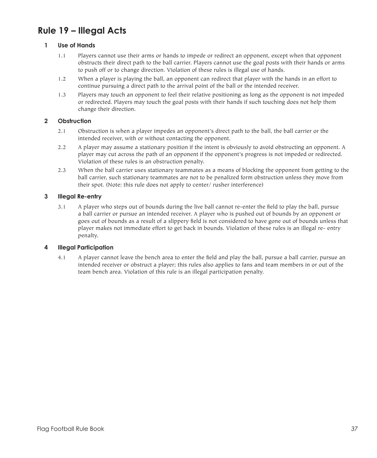# **Rule 19 – Illegal Acts**

## **1 Use of Hands**

- 1.1 Players cannot use their arms or hands to impede or redirect an opponent, except when that opponent obstructs their direct path to the ball carrier. Players cannot use the goal posts with their hands or arms to push off or to change direction. Violation of these rules is illegal use of hands.
- 1.2 When a player is playing the ball, an opponent can redirect that player with the hands in an effort to continue pursuing a direct path to the arrival point of the ball or the intended receiver.
- 1.3 Players may touch an opponent to feel their relative positioning as long as the opponent is not impeded or redirected. Players may touch the goal posts with their hands if such touching does not help them change their direction.

### **2 Obstruction**

- 2.1 Obstruction is when a player impedes an opponent's direct path to the ball, the ball carrier or the intended receiver, with or without contacting the opponent.
- 2.2 A player may assume a stationary position if the intent is obviously to avoid obstructing an opponent. A player may cut across the path of an opponent if the opponent's progress is not impeded or redirected. Violation of these rules is an obstruction penalty.
- 2.3 When the ball carrier uses stationary teammates as a means of blocking the opponent from getting to the ball carrier, such stationary teammates are not to be penalized form obstruction unless they move from their spot. (Note: this rule does not apply to center/ rusher interference)

### **3 Illegal Re-entry**

3.1 A player who steps out of bounds during the live ball cannot re-enter the field to play the ball, pursue a ball carrier or pursue an intended receiver. A player who is pushed out of bounds by an opponent or goes out of bounds as a result of a slippery field is not considered to have gone out of bounds unless that player makes not immediate effort to get back in bounds. Violation of these rules is an illegal re- entry penalty.

#### **4 Illegal Participation**

4.1 A player cannot leave the bench area to enter the field and play the ball, pursue a ball carrier, pursue an intended receiver or obstruct a player; this rules also applies to fans and team members in or out of the team bench area. Violation of this rule is an illegal participation penalty.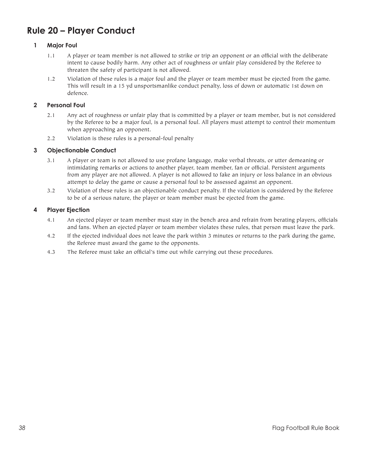# **Rule 20 – Player Conduct**

# **1 Major Foul**

- 1.1 A player or team member is not allowed to strike or trip an opponent or an official with the deliberate intent to cause bodily harm. Any other act of roughness or unfair play considered by the Referee to threaten the safety of participant is not allowed.
- 1.2 Violation of these rules is a major foul and the player or team member must be ejected from the game. This will result in a 15 yd unsportsmanlike conduct penalty, loss of down or automatic 1st down on defence.

## **2 Personal Foul**

- 2.1 Any act of roughness or unfair play that is committed by a player or team member, but is not considered by the Referee to be a major foul, is a personal foul. All players must attempt to control their momentum when approaching an opponent.
- 2.2 Violation is these rules is a personal-foul penalty

# **3 Objectionable Conduct**

- 3.1 A player or team is not allowed to use profane language, make verbal threats, or utter demeaning or intimidating remarks or actions to another player, team member, fan or official. Persistent arguments from any player are not allowed. A player is not allowed to fake an injury or loss balance in an obvious attempt to delay the game or cause a personal foul to be assessed against an opponent.
- 3.2 Violation of these rules is an objectionable conduct penalty. If the violation is considered by the Referee to be of a serious nature, the player or team member must be ejected from the game.

### **4 Player Ejection**

- 4.1 An ejected player or team member must stay in the bench area and refrain from berating players, officials and fans. When an ejected player or team member violates these rules, that person must leave the park.
- 4.2 If the ejected individual does not leave the park within 3 minutes or returns to the park during the game, the Referee must award the game to the opponents.
- 4.3 The Referee must take an official's time out while carrying out these procedures.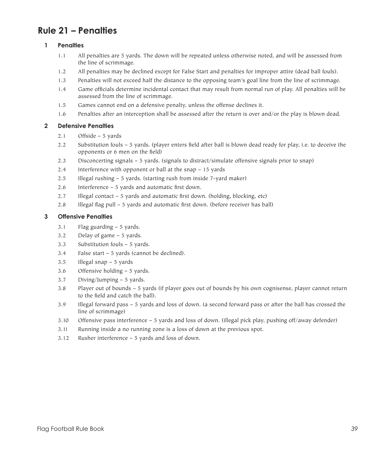# **Rule 21 – Penalties**

# **1 Penalties**

- 1.1 All penalties are 5 yards. The down will be repeated unless otherwise noted, and will be assessed from the line of scrimmage.
- 1.2 All penalties may be declined except for False Start and penalties for improper attire (dead ball fouls).
- 1.3 Penalties will not exceed half the distance to the opposing team's goal line from the line of scrimmage.
- 1.4 Game officials determine incidental contact that may result from normal run of play. All penalties will be assessed from the line of scrimmage.
- 1.5 Games cannot end on a defensive penalty, unless the offense declines it.
- 1.6 Penalties after an interception shall be assessed after the return is over and/or the play is blown dead.

# **2 Defensive Penalties**

- 2.1 Offside 5 yards
- 2.2 Substitution fouls 5 yards. (player enters field after ball is blown dead ready for play, i.e. to deceive the opponents or 6 men on the field)
- 2.3 Disconcerting signals 5 yards. (signals to distract/simulate offensive signals prior to snap)
- 2.4 Interference with opponent or ball at the snap 15 yards
- 2.5 Illegal rushing 5 yards. (starting rush from inside 7-yard maker)
- 2.6 Interference 5 yards and automatic first down.
- 2.7 Illegal contact 5 yards and automatic first down. (holding, blocking, etc)
- 2.8 Illegal flag pull 5 yards and automatic first down. (before receiver has ball)

# **3 Offensive Penalties**

- 3.1 Flag guarding 5 yards.
- 3.2 Delay of game 5 yards.
- 3.3 Substitution fouls 5 yards.
- 3.4 False start 5 yards (cannot be declined).
- 3.5 Illegal snap 5 yards
- 3.6 Offensive holding 5 yards.
- 3.7 Diving/Jumping 5 yards.
- 3.8 Player out of bounds 5 yards (if player goes out of bounds by his own cognisense, player cannot return to the field and catch the ball).
- 3.9 Illegal forward pass 5 yards and loss of down. (a second forward pass or after the ball has crossed the line of scrimmage)
- 3.10 Offensive pass interference 5 yards and loss of down. (illegal pick play, pushing off/away defender)
- 3.11 Running inside a no running zone is a loss of down at the previous spot.
- 3.12 Rusher interference 5 yards and loss of down.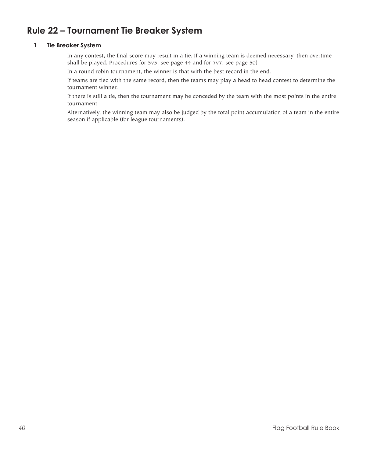# **Rule 22 – Tournament Tie Breaker System**

### **1 Tie Breaker System**

 In any contest, the final score may result in a tie. If a winning team is deemed necessary, then overtime shall be played. Procedures for 5v5, see page 44 and for 7v7, see page 50)

 In a round robin tournament, the winner is that with the best record in the end.

 If teams are tied with the same record, then the teams may play a head to head contest to determine the tournament winner.

 If there is still a tie, then the tournament may be conceded by the team with the most points in the entire tournament.

 Alternatively, the winning team may also be judged by the total point accumulation of a team in the entire season if applicable (for league tournaments).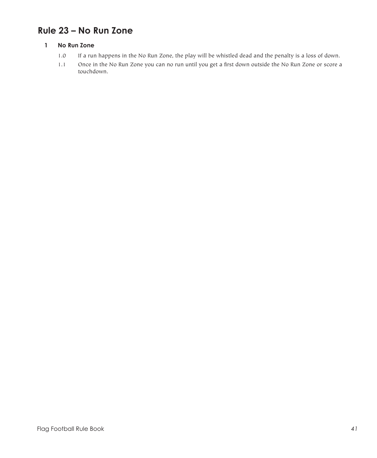# **Rule 23 – No Run Zone**

# **1 No Run Zone**

- 1.0 If a run happens in the No Run Zone, the play will be whistled dead and the penalty is a loss of down.
- 1.1 Once in the No Run Zone you can no run until you get a first down outside the No Run Zone or score a touchdown.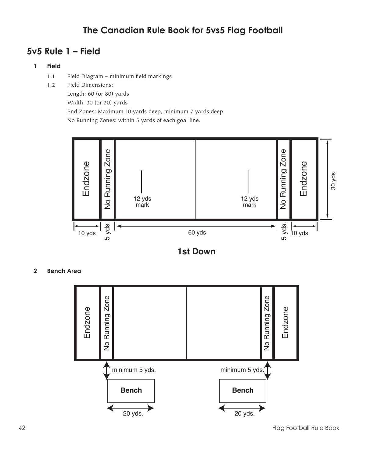# **The Canadian Rule Book for 5vs5 Flag Football**

# **5v5 Rule 1 – Field**

# **1 Field**

- 1.1 Field Diagram minimum field markings
- 1.2 Field Dimensions:

Length: 60 (or 80) yards Width: 30 (or 20) yards End Zones: Maximum 10 yards deep, minimum 7 yards deep

No Running Zones: within 5 yards of each goal line.





**2 Bench Area**

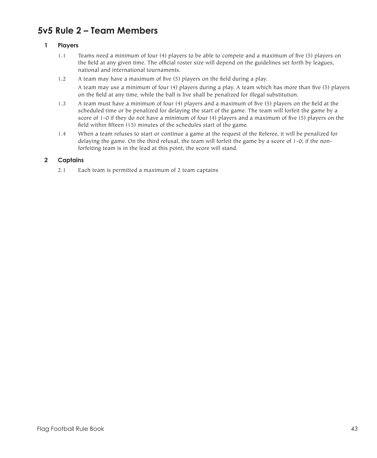# **5v5 Rule 2 – Team Members**

# **1 Players**

- 1.1 Teams need a minimum of four (4) players to be able to compete and a maximum of five (5) players on the field at any given time. The official roster size will depend on the guidelines set forth by leagues, national and international tournaments.
- 1.2 A team may have a maximum of five (5) players on the field during a play. A team may use a minimum of four (4) players during a play. A team which has more than five (5) players on the field at any time, while the ball is live shall be penalized for illegal substitution.
- 1.3 A team must have a minimum of four (4) players and a maximum of five (5) players on the field at the scheduled time or be penalized for delaying the start of the game. The team will forfeit the game by a score of 1-0 if they do not have a minimum of four (4) players and a maximum of five (5) players on the field within fifteen (15) minutes of the schedules start of the game.
- 1.4 When a team refuses to start or continue a game at the request of the Referee, it will be penalized for delaying the game. On the third refusal, the team will forfeit the game by a score of 1-0; if the nonforfeiting team is in the lead at this point, the score will stand.

# **2 Captains**

2.1 Each team is permitted a maximum of 2 team captains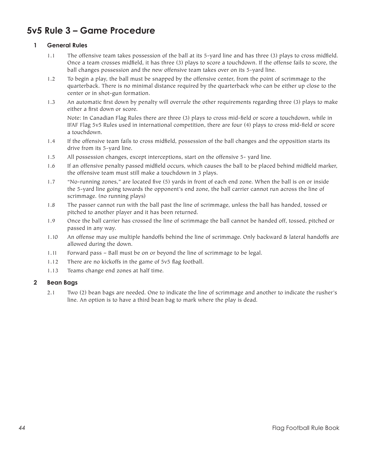# **5v5 Rule 3 – Game Procedure**

# **1 General Rules**

- 1.1 The offensive team takes possession of the ball at its 5-yard line and has three (3) plays to cross midfield. Once a team crosses midfield, it has three (3) plays to score a touchdown. If the offense fails to score, the ball changes possession and the new offensive team takes over on its 5-yard line.
- 1.2 To begin a play, the ball must be snapped by the offensive center, from the point of scrimmage to the quarterback. There is no minimal distance required by the quarterback who can be either up close to the center or in shot-gun formation.
- 1.3 An automatic first down by penalty will overrule the other requirements regarding three (3) plays to make either a first down or score.

 Note: In Canadian Flag Rules there are three (3) plays to cross mid-field or score a touchdown, while in IFAF Flag 5v5 Rules used in international competition, there are four (4) plays to cross mid-field or score a touchdown.

- 1.4 If the offensive team fails to cross midfield, possession of the ball changes and the opposition starts its drive from its 5-yard line.
- 1.5 All possession changes, except interceptions, start on the offensive 5- yard line.
- 1.6 If an offensive penalty passed midfield occurs, which causes the ball to be placed behind midfield marker, the offensive team must still make a touchdown in 3 plays.
- 1.7 "No-running zones," are located five (5) yards in front of each end zone. When the ball is on or inside the 5-yard line going towards the opponent's end zone, the ball carrier cannot run across the line of scrimmage. (no running plays)
- 1.8 The passer cannot run with the ball past the line of scrimmage, unless the ball has handed, tossed or pitched to another player and it has been returned.
- 1.9 Once the ball carrier has crossed the line of scrimmage the ball cannot be handed off, tossed, pitched or passed in any way.
- 1.10 An offense may use multiple handoffs behind the line of scrimmage. Only backward & lateral handoffs are allowed during the down.
- 1.11 Forward pass Ball must be on or beyond the line of scrimmage to be legal.
- 1.12 There are no kickoffs in the game of 5v5 flag football.
- 1.13 Teams change end zones at half time.

#### **2 Bean Bags**

2.1 Two (2) bean bags are needed. One to indicate the line of scrimmage and another to indicate the rusher's line. An option is to have a third bean bag to mark where the play is dead.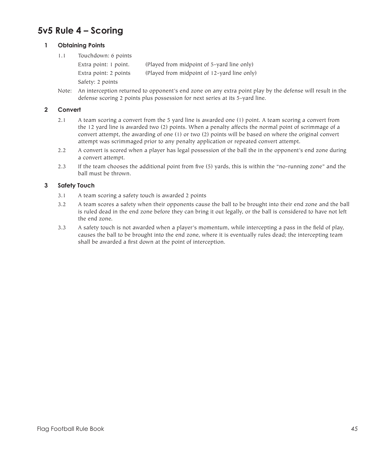# **5v5 Rule 4 – Scoring**

### **1 Obtaining Points**

1.1 Touchdown: 6 points

Extra point: 1 point. (Played from midpoint of 5-yard line only) Extra point: 2 points (Played from midpoint of 12-yard line only) Safety: 2 points

Note: An interception returned to opponent's end zone on any extra point play by the defense will result in the defense scoring 2 points plus possession for next series at its 5-yard line.

## **2 Convert**

- 2.1 A team scoring a convert from the 5 yard line is awarded one (1) point. A team scoring a convert from the 12 yard line is awarded two (2) points. When a penalty affects the normal point of scrimmage of a convert attempt, the awarding of one (1) or two (2) points will be based on where the original convert attempt was scrimmaged prior to any penalty application or repeated convert attempt.
- 2.2 A convert is scored when a player has legal possession of the ball the in the opponent's end zone during a convert attempt.
- 2.3 If the team chooses the additional point from five (5) yards, this is within the "no-running zone" and the ball must be thrown.

### **3 Safety Touch**

- 3.1 A team scoring a safety touch is awarded 2 points
- 3.2 A team scores a safety when their opponents cause the ball to be brought into their end zone and the ball is ruled dead in the end zone before they can bring it out legally, or the ball is considered to have not left the end zone.
- 3.3 A safety touch is not awarded when a player's momentum, while intercepting a pass in the field of play, causes the ball to be brought into the end zone, where it is eventually rules dead; the intercepting team shall be awarded a first down at the point of interception.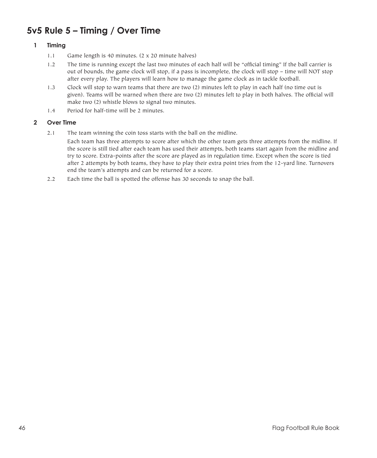# **5v5 Rule 5 – Timing / Over Time**

# **1 Timing**

- 1.1 Game length is 40 minutes. (2 x 20 minute halves)
- 1.2 The time is running except the last two minutes of each half will be "official timing" If the ball carrier is out of bounds, the game clock will stop, if a pass is incomplete, the clock will stop – time will NOT stop after every play. The players will learn how to manage the game clock as in tackle football.
- 1.3 Clock will stop to warn teams that there are two (2) minutes left to play in each half (no time out is given). Teams will be warned when there are two (2) minutes left to play in both halves. The official will make two (2) whistle blows to signal two minutes.
- 1.4 Period for half-time will be 2 minutes.

# **2 Over Time**

2.1 The team winning the coin toss starts with the ball on the midline.

 Each team has three attempts to score after which the other team gets three attempts from the midline. If the score is still tied after each team has used their attempts, both teams start again from the midline and try to score. Extra-points after the score are played as in regulation time. Except when the score is tied after 2 attempts by both teams, they have to play their extra point tries from the 12-yard line. Turnovers end the team's attempts and can be returned for a score.

2.2 Each time the ball is spotted the offense has 30 seconds to snap the ball.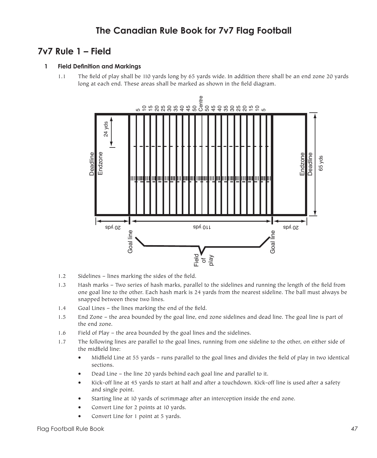# **7v7 Rule 1 – Field**

### **1 Field Definition and Markings**

1.1 The field of play shall be 110 yards long by 65 yards wide. In addition there shall be an end zone 20 yards long at each end. These areas shall be marked as shown in the field diagram.



- 1.2 Sidelines lines marking the sides of the field.
- 1.3 Hash marks Two series of hash marks, parallel to the sidelines and running the length of the field from one goal line to the other. Each hash mark is 24 yards from the nearest sideline. The ball must always be snapped between these two lines.
- 1.4 Goal Lines the lines marking the end of the field.
- 1.5 End Zone the area bounded by the goal line, end zone sidelines and dead line. The goal line is part of the end zone.
- 1.6 Field of Play the area bounded by the goal lines and the sidelines.
- 1.7 The following lines are parallel to the goal lines, running from one sideline to the other, on either side of the midfield line:
	- Midfield Line at 55 yards runs parallel to the goal lines and divides the field of play in two identical sections.
	- Dead Line the line 20 yards behind each goal line and parallel to it.
	- Kick-off line at 45 yards to start at half and after a touchdown. Kick-off line is used after a safety and single point.
	- Starting line at 10 yards of scrimmage after an interception inside the end zone.
	- Convert Line for 2 points at 10 yards.
	- Convert Line for 1 point at 5 yards.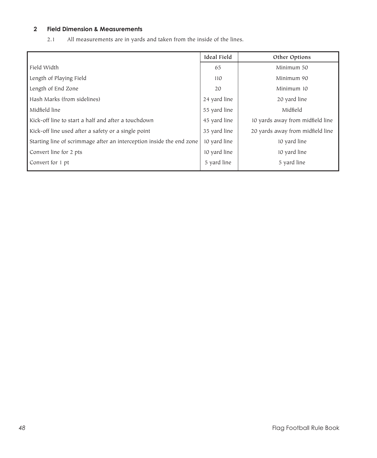# **2 Field Dimension & Measurements**

2.1 All measurements are in yards and taken from the inside of the lines.

|                                                                      | <b>Ideal Field</b> | Other Options                    |
|----------------------------------------------------------------------|--------------------|----------------------------------|
| Field Width                                                          | 65                 | Minimum 50                       |
| Length of Playing Field                                              | 110                | Minimum 90                       |
| Length of End Zone                                                   | 20                 | Minimum 10                       |
| Hash Marks (from sidelines)                                          | 24 yard line       | 20 yard line                     |
| Midfield line                                                        | 55 yard line       | Midfield                         |
| Kick-off line to start a half and after a touchdown                  | 45 yard line       | 10 yards away from midfield line |
| Kick-off line used after a safety or a single point                  | 35 yard line       | 20 yards away from midfield line |
| Starting line of scrimmage after an interception inside the end zone | 10 yard line       | 10 yard line                     |
| Convert line for 2 pts                                               | 10 yard line       | 10 yard line                     |
| Convert for 1 pt                                                     | 5 vard line        | 5 yard line                      |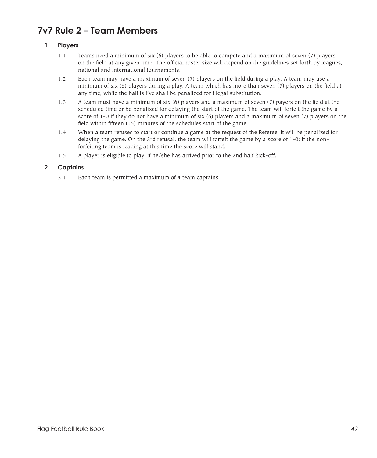# **7v7 Rule 2 – Team Members**

# **1 Players**

- 1.1 Teams need a minimum of six (6) players to be able to compete and a maximum of seven (7) players on the field at any given time. The official roster size will depend on the guidelines set forth by leagues, national and international tournaments.
- 1.2 Each team may have a maximum of seven (7) players on the field during a play. A team may use a minimum of six (6) players during a play. A team which has more than seven (7) players on the field at any time, while the ball is live shall be penalized for illegal substitution.
- 1.3 A team must have a minimum of six (6) players and a maximum of seven (7) payers on the field at the scheduled time or be penalized for delaying the start of the game. The team will forfeit the game by a score of 1-0 if they do not have a minimum of six (6) players and a maximum of seven (7) players on the field within fifteen (15) minutes of the schedules start of the game.
- 1.4 When a team refuses to start or continue a game at the request of the Referee, it will be penalized for delaying the game. On the 3rd refusal, the team will forfeit the game by a score of 1-0; if the nonforfeiting team is leading at this time the score will stand.
- 1.5 A player is eligible to play, if he/she has arrived prior to the 2nd half kick-off.

### **2 Captains**

2.1 Each team is permitted a maximum of 4 team captains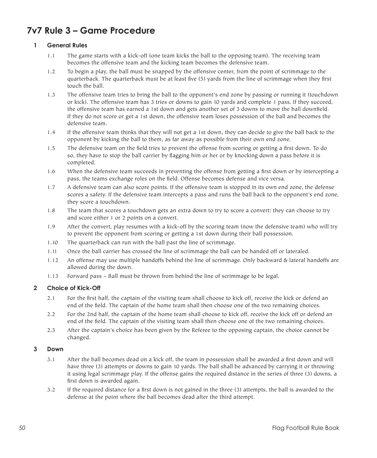# **7v7 Rule 3 – Game Procedure**

# **1 General Rules**

- 1.1 The game starts with a kick-off (one team kicks the ball to the opposing team). The receiving team becomes the offensive team and the kicking team becomes the defensive team.
- 1.2 To begin a play, the ball must be snapped by the offensive center, from the point of scrimmage to the quarterback. The quarterback must be at least five (5) yards from the line of scrimmage when they first touch the ball.
- 1.3 The offensive team tries to bring the ball to the opponent's end zone by passing or running it (touchdown or kick). The offensive team has 3 tries or downs to gain 10 yards and complete 1 pass. If they succeed, the offensive team has earned a 1st down and gets another set of 3 downs to move the ball downfield. If they do not score or get a 1st down, the offensive team loses possession of the ball and becomes the defensive team.
- 1.4 If the offensive team thinks that they will not get a 1st down, they can decide to give the ball back to the opponent by kicking the ball to them, as far away as possible from their own end zone.
- 1.5 The defensive team on the field tries to prevent the offense from scoring or getting a first down. To do so, they have to stop the ball carrier by flagging him or her or by knocking down a pass before it is completed.
- 1.6 When the defensive team succeeds in preventing the offense from getting a first down or by intercepting a pass, the teams exchange roles on the field. Offense becomes defense and vice versa.
- 1.7 A defensive team can also score points. If the offensive team is stopped in its own end zone, the defense scores a safety. If the defensive team intercepts a pass and runs the ball back to the opponent's end zone, they score a touchdown.
- 1.8 The team that scores a touchdown gets an extra down to try to score a convert: they can choose to try and score either 1 or 2 points on a convert.
- 1.9 After the convert, play resumes with a kick-off by the scoring team (now the defensive team) who will try to prevent the opponent from scoring or getting a 1st down during their ball possession.
- 1.10 The quarterback can run with the ball past the line of scrimmage.
- 1.11 Once the ball carrier has crossed the line of scrimmage the ball can be handed off or lateraled.
- 1.12 An offense may use multiple handoffs behind the line of scrimmage. Only backward & lateral handoffs are allowed during the down.
- 1.13 Forward pass Ball must be thrown from behind the line of scrimmage to be legal.

#### **2 Choice of Kick-Off**

- 2.1 For the first half, the captain of the visiting team shall choose to kick off, receive the kick or defend an end of the field. The captain of the home team shall then choose one of the two remaining choices.
- 2.2 For the 2nd half, the captain of the home team shall choose to kick off, receive the kick off or defend an end of the field. The captain of the visiting team shall then choose one of the two remaining choices.
- 2.3 After the captain's choice has been given by the Referee to the opposing captain, the choice cannot be changed.

#### **3 Down**

- 3.1 After the ball becomes dead on a kick off, the team in possession shall be awarded a first down and will have three (3) attempts or downs to gain 10 yards. The ball shall be advanced by carrying it or throwing it using legal scrimmage play. If the offense gains the required distance in the series of three (3) downs, a first down is awarded again.
- 3.2 If the required distance for a first down is not gained in the three (3) attempts, the ball is awarded to the defense at the point where the ball becomes dead after the third attempt.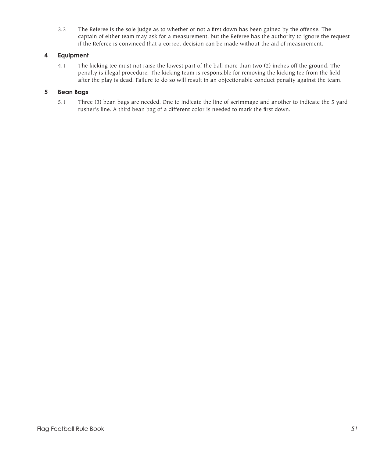3.3 The Referee is the sole judge as to whether or not a first down has been gained by the offense. The captain of either team may ask for a measurement, but the Referee has the authority to ignore the request if the Referee is convinced that a correct decision can be made without the aid of measurement.

# **4 Equipment**

4.1 The kicking tee must not raise the lowest part of the ball more than two (2) inches off the ground. The penalty is illegal procedure. The kicking team is responsible for removing the kicking tee from the field after the play is dead. Failure to do so will result in an objectionable conduct penalty against the team.

## **5 Bean Bags**

5.1 Three (3) bean bags are needed. One to indicate the line of scrimmage and another to indicate the 5 yard rusher's line. A third bean bag of a different color is needed to mark the first down.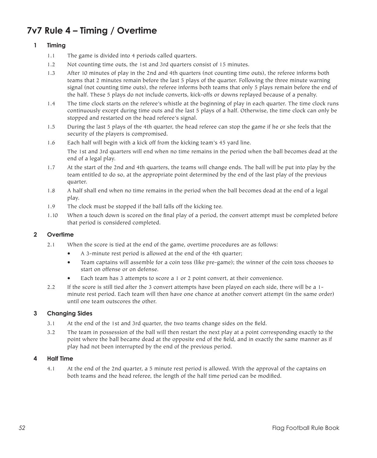# **7v7 Rule 4 – Timing / Overtime**

# **1 Timing**

- 1.1 The game is divided into 4 periods called quarters.
- 1.2 Not counting time outs, the 1st and 3rd quarters consist of 15 minutes.
- 1.3 After 10 minutes of play in the 2nd and 4th quarters (not counting time outs), the referee informs both teams that 2 minutes remain before the last 5 plays of the quarter. Following the three minute warning signal (not counting time outs), the referee informs both teams that only 5 plays remain before the end of the half. These 5 plays do not include converts, kick-offs or downs replayed because of a penalty.
- 1.4 The time clock starts on the referee's whistle at the beginning of play in each quarter. The time clock runs continuously except during time outs and the last 5 plays of a half. Otherwise, the time clock can only be stopped and restarted on the head referee's signal.
- 1.5 During the last 5 plays of the 4th quarter, the head referee can stop the game if he or she feels that the security of the players is compromised.
- 1.6 Each half will begin with a kick off from the kicking team's 45 yard line. The 1st and 3rd quarters will end when no time remains in the period when the ball becomes dead at the end of a legal play.
- 1.7 At the start of the 2nd and 4th quarters, the teams will change ends. The ball will be put into play by the team entitled to do so, at the appropriate point determined by the end of the last play of the previous quarter.
- 1.8 A half shall end when no time remains in the period when the ball becomes dead at the end of a legal play.
- 1.9 The clock must be stopped if the ball falls off the kicking tee.
- 1.10 When a touch down is scored on the final play of a period, the convert attempt must be completed before that period is considered completed.

#### **2 Overtime**

- 2.1 When the score is tied at the end of the game, overtime procedures are as follows:
	- A 3-minute rest period is allowed at the end of the 4th quarter;
	- • Team captains will assemble for a coin toss (like pre-game); the winner of the coin toss chooses to start on offense or on defense.
	- Each team has 3 attempts to score a 1 or 2 point convert, at their convenience.
- 2.2 If the score is still tied after the 3 convert attempts have been played on each side, there will be a 1minute rest period. Each team will then have one chance at another convert attempt (in the same order) until one team outscores the other.

#### **3 Changing Sides**

- 3.1 At the end of the 1st and 3rd quarter, the two teams change sides on the field.
- 3.2 The team in possession of the ball will then restart the next play at a point corresponding exactly to the point where the ball became dead at the opposite end of the field, and in exactly the same manner as if play had not been interrupted by the end of the previous period.

#### **4 Half Time**

4.1 At the end of the 2nd quarter, a 5 minute rest period is allowed. With the approval of the captains on both teams and the head referee, the length of the half time period can be modified.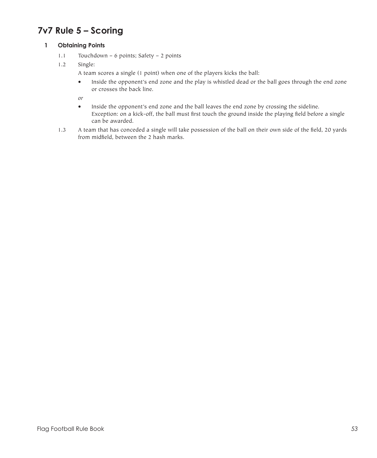# **7v7 Rule 5 – Scoring**

# **1 Obtaining Points**

- 1.1 Touchdown 6 points; Safety 2 points
- 1.2 Single:

A team scores a single (1 point) when one of the players kicks the ball:

• Inside the opponent's end zone and the play is whistled dead or the ball goes through the end zone or crosses the back line.

*or*

- Inside the opponent's end zone and the ball leaves the end zone by crossing the sideline. Exception: on a kick-off, the ball must first touch the ground inside the playing field before a single can be awarded.
- 1.3 A team that has conceded a single will take possession of the ball on their own side of the field, 20 yards from midfield, between the 2 hash marks.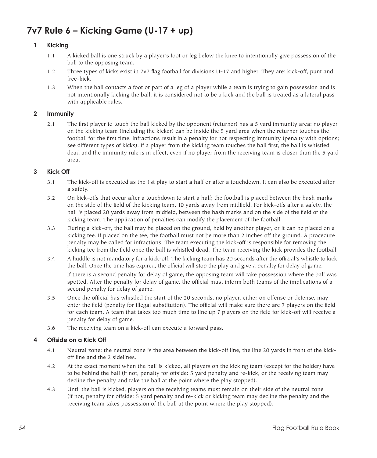# **7v7 Rule 6 – Kicking Game (U-17 + up)**

# **1 Kicking**

- 1.1 A kicked ball is one struck by a player's foot or leg below the knee to intentionally give possession of the ball to the opposing team.
- 1.2 Three types of kicks exist in 7v7 flag football for divisions U-17 and higher. They are: kick-off, punt and free-kick.
- 1.3 When the ball contacts a foot or part of a leg of a player while a team is trying to gain possession and is not intentionally kicking the ball, it is considered not to be a kick and the ball is treated as a lateral pass with applicable rules.

### **2 Immunity**

2.1 The first player to touch the ball kicked by the opponent (returner) has a 5 yard immunity area: no player on the kicking team (including the kicker) can be inside the 5 yard area when the returner touches the football for the first time. Infractions result in a penalty for not respecting immunity (penalty with options; see different types of kicks). If a player from the kicking team touches the ball first, the ball is whistled dead and the immunity rule is in effect, even if no player from the receiving team is closer than the 5 yard area.

# **3 Kick Off**

- 3.1 The kick-off is executed as the 1st play to start a half or after a touchdown. It can also be executed after a safety.
- 3.2 On kick-offs that occur after a touchdown to start a half; the football is placed between the hash marks on the side of the field of the kicking team, 10 yards away from midfield. For kick-offs after a safety, the ball is placed 20 yards away from midfield, between the hash marks and on the side of the field of the kicking team. The application of penalties can modify the placement of the football.
- 3.3 During a kick-off, the ball may be placed on the ground, held by another player, or it can be placed on a kicking tee. If placed on the tee, the football must not be more than 2 inches off the ground. A procedure penalty may be called for infractions. The team executing the kick-off is responsible for removing the kicking tee from the field once the ball is whistled dead. The team receiving the kick provides the football.
- 3.4 A huddle is not mandatory for a kick-off. The kicking team has 20 seconds after the official's whistle to kick the ball. Once the time has expired, the official will stop the play and give a penalty for delay of game.

 If there is a second penalty for delay of game, the opposing team will take possession where the ball was spotted. After the penalty for delay of game, the official must inform both teams of the implications of a second penalty for delay of game.

- 3.5 Once the official has whistled the start of the 20 seconds, no player, either on offense or defense, may enter the field (penalty for illegal substitution). The official will make sure there are 7 players on the field for each team. A team that takes too much time to line up 7 players on the field for kick-off will receive a penalty for delay of game.
- 3.6 The receiving team on a kick-off can execute a forward pass.

#### **4 Offside on a Kick Off**

- 4.1 Neutral zone: the neutral zone is the area between the kick-off line, the line 20 yards in front of the kickoff line and the 2 sidelines.
- 4.2 At the exact moment when the ball is kicked, all players on the kicking team (except for the holder) have to be behind the ball (if not, penalty for offside: 5 yard penalty and re-kick, or the receiving team may decline the penalty and take the ball at the point where the play stopped).
- 4.3 Until the ball is kicked, players on the receiving teams must remain on their side of the neutral zone (if not, penalty for offside: 5 yard penalty and re-kick or kicking team may decline the penalty and the receiving team takes possession of the ball at the point where the play stopped).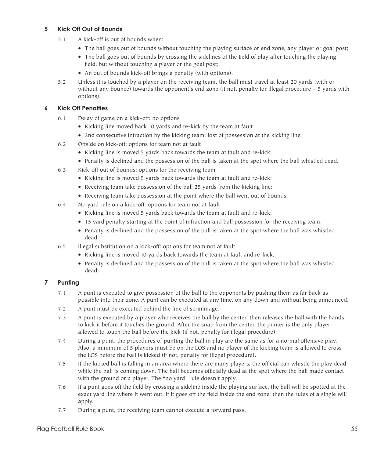# **5 Kick Off Out of Bounds**

- 5.1 A kick-off is out of bounds when:
	- The ball goes out of bounds without touching the playing surface or end zone, any player or goal post;
	- The ball goes out of bounds by crossing the sidelines of the field of play after touching the playing field, but without touching a player or the goal post;
	- An out of bounds kick-off brings a penalty (with options).
- 5.2 Unless it is touched by a player on the receiving team, the ball must travel at least 20 yards (with or without any bounce) towards the opponent's end zone (if not, penalty for illegal procedure – 5 yards with options).

# **6 Kick Off Penalties**

- 6.1 Delay of game on a kick-off: no options
	- • Kicking line moved back 10 yards and re-kick by the team at fault
	- 2nd consecutive infraction by the kicking team: lost of possession at the kicking line.
- 6.2 Offside on kick-off: options for team not at fault
	- Kicking line is moved 5 yards back towards the team at fault and re-kick;
	- • Penalty is declined and the possession of the ball is taken at the spot where the ball whistled dead.
- 6.3 Kick-off out of bounds: options for the receiving team
	- • Kicking line is moved 5 yards back towards the team at fault and re-kick;
	- Receiving team take possession of the ball 25 yards from the kicking line;
	- Receiving team take possession at the point where the ball went out of bounds.
- 6.4 No yard rule on a kick-off: options for team not at fault
	- • Kicking line is moved 5 yards back towards the team at fault and re-kick;
	- • 15 yard penalty starting at the point of infraction and ball possession for the receiving team.
	- • Penalty is declined and the possession of the ball is taken at the spot where the ball was whistled dead.
- 6.5 Illegal substitution on a kick-off: options for team not at fault
	- • Kicking line is moved 10 yards back towards the team at fault and re-kick;
	- • Penalty is declined and the possession of the ball is taken at the spot where the ball was whistled dead.

# **7 Punting**

- 7.1 A punt is executed to give possession of the ball to the opponents by pushing them as far back as possible into their zone. A punt can be executed at any time, on any down and without being announced.
- 7.2 A punt must be executed behind the line of scrimmage.
- 7.3 A punt is executed by a player who receives the ball by the center, then releases the ball with the hands to kick it before it touches the ground. After the snap from the center, the punter is the only player allowed to touch the ball before the kick (if not, penalty for illegal procedure).
- 7.4 During a punt, the procedures of punting the ball in play are the same as for a normal offensive play. Also, a minimum of 5 players must be on the LOS and no player of the kicking team is allowed to cross the LOS before the ball is kicked (if not, penalty for illegal procedure).
- 7.5 If the kicked ball is falling in an area where there are many players, the official can whistle the play dead while the ball is coming down. The ball becomes officially dead at the spot where the ball made contact with the ground or a player. The "no yard" rule doesn't apply.
- 7.6 If a punt goes off the field by crossing a sideline inside the playing surface, the ball will be spotted at the exact yard line where it went out. If it goes off the field inside the end zone, then the rules of a single will apply.
- 7.7 During a punt, the receiving team cannot execute a forward pass.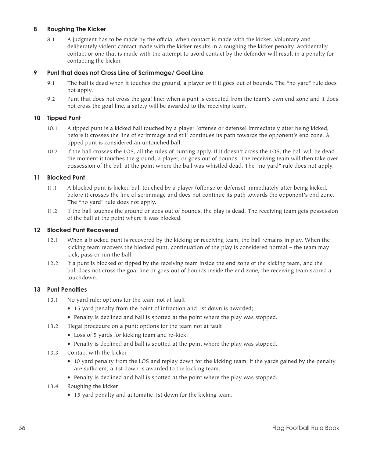### **8 Roughing The Kicker**

8.1 A judgment has to be made by the official when contact is made with the kicker. Voluntary and deliberately violent contact made with the kicker results in a roughing the kicker penalty. Accidentally contact or one that is made with the attempt to avoid contact by the defender will result in a penalty for contacting the kicker.

### **9 Punt that does not Cross Line of Scrimmage/ Goal Line**

- 9.1 The ball is dead when it touches the ground, a player or if it goes out of bounds. The "no yard" rule does not apply.
- 9.2 Punt that does not cross the goal line: when a punt is executed from the team's own end zone and it does not cross the goal line, a safety will be awarded to the receiving team.

#### **10 Tipped Punt**

- 10.1 A tipped punt is a kicked ball touched by a player (offense or defense) immediately after being kicked, before it crosses the line of scrimmage and still continues its path towards the opponent's end zone. A tipped punt is considered an untouched ball.
- 10.2 If the ball crosses the LOS, all the rules of punting apply. If it doesn't cross the LOS, the ball will be dead the moment it touches the ground, a player, or goes out of bounds. The receiving team will then take over possession of the ball at the point where the ball was whistled dead. The "no yard" rule does not apply.

#### **11 Blocked Punt**

- 11.1 A blocked punt is kicked ball touched by a player (offense or defense) immediately after being kicked, before it crosses the line of scrimmage and does not continue its path towards the opponent's end zone. The "no yard" rule does not apply.
- 11.2 If the ball touches the ground or goes out of bounds, the play is dead. The receiving team gets possession of the ball at the point where it was blocked.

#### **12 Blocked Punt Recovered**

- 12.1 When a blocked punt is recovered by the kicking or receiving team, the ball remains in play. When the kicking team recovers the blocked punt, continuation of the play is considered normal – the team may kick, pass or run the ball.
- 12.2 If a punt is blocked or tipped by the receiving team inside the end zone of the kicking team, and the ball does not cross the goal line or goes out of bounds inside the end zone, the receiving team scored a touchdown.

#### **13 Punt Penalties**

- 13.1 No yard rule: options for the team not at fault
	- 15 yard penalty from the point of infraction and 1st down is awarded;
	- Penalty is declined and ball is spotted at the point where the play was stopped.
- 13.2 Illegal procedure on a punt: options for the team not at fault
	- • Loss of 5 yards for kicking team and re-kick.
	- • Penalty is declined and ball is spotted at the point where the play was stopped.
- 13.3 Contact with the kicker
	- • 10 yard penalty from the LOS and replay down for the kicking team; if the yards gained by the penalty are sufficient, a 1st down is awarded to the kicking team.
	- Penalty is declined and ball is spotted at the point where the play was stopped.
- 13.4 Roughing the kicker
	- 15 yard penalty and automatic 1st down for the kicking team.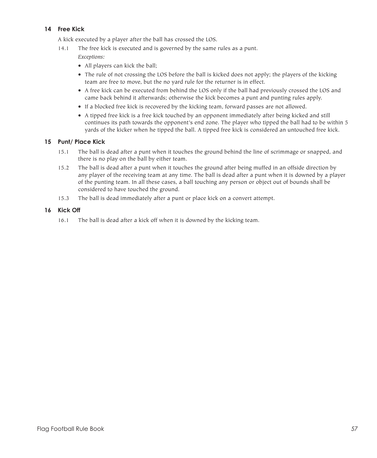# **14 Free Kick**

A kick executed by a player after the ball has crossed the LOS.

14.1 The free kick is executed and is governed by the same rules as a punt.

*Exceptions:*

- • All players can kick the ball;
- • The rule of not crossing the LOS before the ball is kicked does not apply; the players of the kicking team are free to move, but the no yard rule for the returner is in effect.
- • A free kick can be executed from behind the LOS only if the ball had previously crossed the LOS and came back behind it afterwards; otherwise the kick becomes a punt and punting rules apply.
- If a blocked free kick is recovered by the kicking team, forward passes are not allowed.
- • A tipped free kick is a free kick touched by an opponent immediately after being kicked and still continues its path towards the opponent's end zone. The player who tipped the ball had to be within 5 yards of the kicker when he tipped the ball. A tipped free kick is considered an untouched free kick.

# **15 Punt/ Place Kick**

- 15.1 The ball is dead after a punt when it touches the ground behind the line of scrimmage or snapped, and there is no play on the ball by either team.
- 15.2 The ball is dead after a punt when it touches the ground after being muffed in an offside direction by any player of the receiving team at any time. The ball is dead after a punt when it is downed by a player of the punting team. In all these cases, a ball touching any person or object out of bounds shall be considered to have touched the ground.
- 15.3 The ball is dead immediately after a punt or place kick on a convert attempt.

### **16 Kick Off**

16.1 The ball is dead after a kick off when it is downed by the kicking team.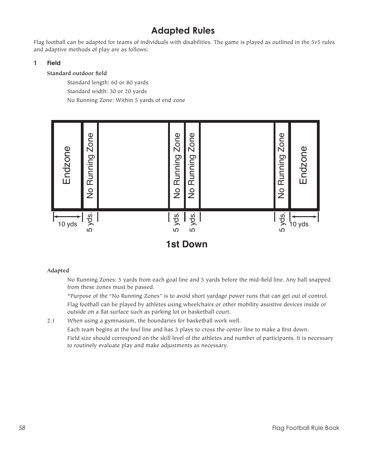# **Adapted Rules**

Flag football can be adapted for teams of individuals with disabilities. The game is played as outlined in the 5v5 rules and adaptive methods of play are as follows:

# **1 Field**

# **Standard outdoor field**

 Standard length: 60 or 80 yards Standard width: 30 or 20 yards No Running Zone: Within 5 yards of end zone



# **Adapted**

 No Running Zones: 5 yards from each goal line and 5 yards before the mid-field line. Any ball snapped from these zones must be passed.

 \*Purpose of the "No Running Zones" is to avoid short yardage power runs that can get out of control. Flag football can be played by athletes using wheelchairs or other mobility assistive devices inside or outside on a flat surface such as parking lot or basketball court.

2.1 When using a gymnasium, the boundaries for basketball work well. Each team begins at the foul line and has 3 plays to cross the center line to make a first down. Field size should correspond on the skill level of the athletes and number of participants. It is necessary to routinely evaluate play and make adjustments as necessary.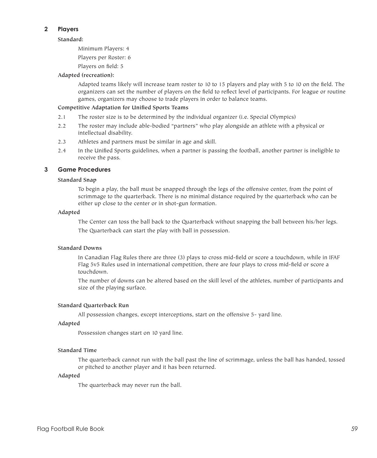### **2 Players**

#### **Standard:**

 Minimum Players: 4

 Players per Roster: 6

 Players on field: 5

#### **Adapted (recreation):**

 Adapted teams likely will increase team roster to 10 to 15 players and play with 5 to 10 on the field. The organizers can set the number of players on the field to reflect level of participants. For league or routine games, organizers may choose to trade players in order to balance teams.

#### **Competitive Adaptation for Unified Sports Teams**

- 2.1 The roster size is to be determined by the individual organizer (i.e. Special Olympics)
- 2.2 The roster may include able-bodied "partners" who play alongside an athlete with a physical or intellectual disability.
- 2.3 Athletes and partners must be similar in age and skill.
- 2.4 In the Unified Sports guidelines, when a partner is passing the football, another partner is ineligible to receive the pass.

#### **3 Game Procedures**

#### **Standard Snap**

 To begin a play, the ball must be snapped through the legs of the offensive center, from the point of scrimmage to the quarterback. There is no minimal distance required by the quarterback who can be either up close to the center or in shot-gun formation.

#### **Adapted**

 The Center can toss the ball back to the Quarterback without snapping the ball between his/her legs. The Quarterback can start the play with ball in possession.

### **Standard Downs**

 In Canadian Flag Rules there are three (3) plays to cross mid-field or score a touchdown, while in IFAF Flag 5v5 Rules used in international competition, there are four plays to cross mid-field or score a touchdown.

 The number of downs can be altered based on the skill level of the athletes, number of participants and size of the playing surface.

#### **Standard Quarterback Run**

 All possession changes, except interceptions, start on the offensive 5- yard line.

#### **Adapted**

 Possession changes start on 10 yard line.

#### **Standard Time**

 The quarterback cannot run with the ball past the line of scrimmage, unless the ball has handed, tossed or pitched to another player and it has been returned.

#### **Adapted**

 The quarterback may never run the ball.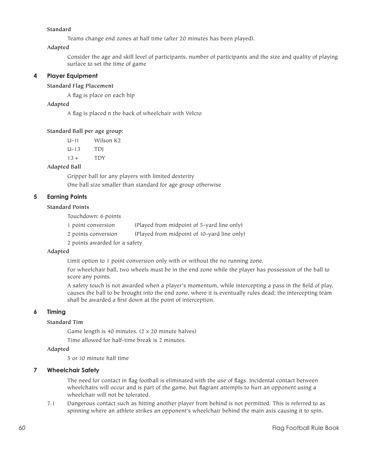### **Standard**

 Teams change end zones at half time (after 20 minutes has been played).

#### **Adapted**

 Consider the age and skill level of participants, number of participants and the size and quality of playing surface to set the time of game

### **4 Player Equipment**

# **Standard Flag Placement**

 A flag is place on each hip

### **Adapted**

 A flag is placed n the back of wheelchair with Velcro

#### **Standard Ball per age group:**

| $U - 11$  | Wilson K <sub>2</sub> |  |
|-----------|-----------------------|--|
| $U - 1.3$ | TDI                   |  |
| $13+$     | <b>TDY</b>            |  |

#### **Adapted Ball**

 Gripper ball for any players with limited dexterity One ball size smaller than standard for age group otherwise

### **5 Earning Points**

### **Standard Points**

 Touchdown: 6 points 1 point conversion (Played from midpoint of 5-yard line only) 2 points conversion (Played from midpoint of 10-yard line only)

 2 points awarded for a safety

#### **Adapted**

 Limit option to 1 point conversion only with or without the no running zone.

 For wheelchair ball, two wheels must be in the end zone while the player has possession of the ball to score any points.

 A safety touch is not awarded when a player's momentum, while intercepting a pass in the field of play, causes the ball to be brought into the end zone, where it is eventually rules dead; the intercepting team shall be awarded a first down at the point of interception.

#### **6 Timing**

# **Standard Tim**

 Game length is 40 minutes. (2 x 20 minute halves)

 Time allowed for half-time break is 2 minutes.

## **Adapted**

 5 or 10 minute half time

#### **7 Wheelchair Safety**

 The need for contact in flag football is eliminated with the use of flags. Incidental contact between wheelchairs will occur and is part of the game, but flagrant attempts to hurt an opponent using a wheelchair will not be tolerated.

7.1 Dangerous contact such as hitting another player from behind is not permitted. This is referred to as spinning where an athlete strikes an opponent's wheelchair behind the main axis causing it to spin.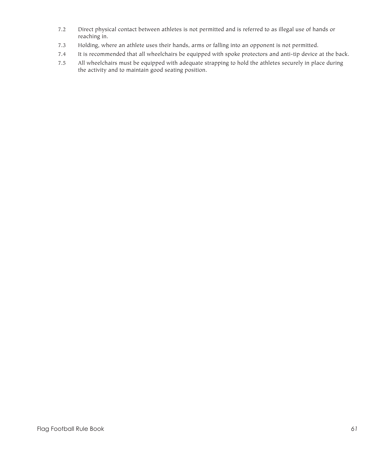- 7.2 Direct physical contact between athletes is not permitted and is referred to as illegal use of hands or reaching in.
- 7.3 Holding, where an athlete uses their hands, arms or falling into an opponent is not permitted.
- 7.4 It is recommended that all wheelchairs be equipped with spoke protectors and anti-tip device at the back.
- 7.5 All wheelchairs must be equipped with adequate strapping to hold the athletes securely in place during the activity and to maintain good seating position.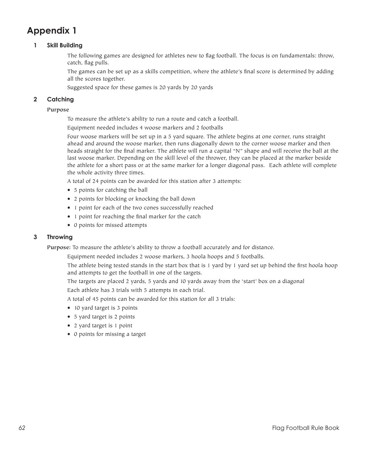# **Appendix 1**

# **1 Skill Building**

 The following games are designed for athletes new to flag football. The focus is on fundamentals: throw, catch, flag pulls.

 The games can be set up as a skills competition, where the athlete's final score is determined by adding all the scores together.

 Suggested space for these games is 20 yards by 20 yards

# **2 Catching**

### **Purpose**

 To measure the athlete's ability to run a route and catch a football.

 Equipment needed includes 4 woose markers and 2 footballs

 Four woose markers will be set up in a 5 yard square. The athlete begins at one corner, runs straight ahead and around the woose marker, then runs diagonally down to the corner woose marker and then heads straight for the final marker. The athlete will run a capital "N" shape and will receive the ball at the last woose marker. Depending on the skill level of the thrower, they can be placed at the marker beside the athlete for a short pass or at the same marker for a longer diagonal pass. Each athlete will complete the whole activity three times.

 A total of 24 points can be awarded for this station after 3 attempts:

- • 5 points for catching the ball
- 2 points for blocking or knocking the ball down
- 1 point for each of the two cones successfully reached
- 1 point for reaching the final marker for the catch
- • 0 points for missed attempts

#### **3 Throwing**

**Purpose:** To measure the athlete's ability to throw a football accurately and for distance.

 Equipment needed includes 2 woose markers, 3 hoola hoops and 5 footballs.

 The athlete being tested stands in the start box that is 1 yard by 1 yard set up behind the first hoola hoop and attempts to get the football in one of the targets.

 The targets are placed 2 yards, 5 yards and 10 yards away from the 'start' box on a diagonal Each athlete has 3 trials with 5 attempts in each trial.

 A total of 45 points can be awarded for this station for all 3 trials:

- 10 yard target is 3 points
- 5 yard target is 2 points
- 2 yard target is 1 point
- • 0 points for missing a target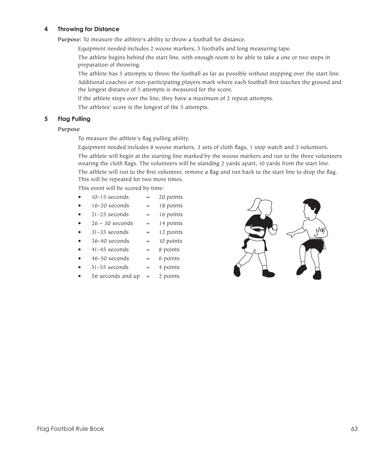### **4 Throwing for Distance**

**Purpose:** To measure the athlete's ability to throw a football for distance.

- Equipment needed includes 2 woose markers, 5 footballs and long measuring tape.
- The athlete begins behind the start line, with enough room to be able to take a one or two steps in preparation of throwing.
- The athlete has 5 attempts to throw the football as far as possible without stepping over the start line. Additional coaches or non-participating players mark where each football first touches the ground and the longest distance of 5 attempts is measured for the score.
- If the athlete steps over the line, they have a maximum of 2 repeat attempts.
- The athletes' score is the longest of the 5 attempts.

### **5 Flag Pulling**

## **Purpose**

 To measure the athlete's flag pulling ability.

 Equipment needed includes 8 woose markers, 3 sets of cloth flags, 1 stop watch and 3 volunteers. The athlete will begin at the starting line marked by the woose markers and run to the three volunteers

wearing the cloth flags. The volunteers will be standing 2 yards apart, 10 yards from the start line.

 The athlete will run to the first volunteer, remove a flag and run back to the start line to drop the flag. This will be repeated for two more times.

 This event will be scored by time:

- $10-15$  seconds  $=$  20 points
- $16-20$  seconds =  $18$  points
- $21 25$  seconds = 16 points
- $26 30$  seconds = 14 points
- $31-35$  seconds = 12 points
- $36-40$  seconds  $=$  10 points
- $41-45$  seconds =  $8$  points
- $46-50$  seconds = 6 points
- $51-55$  seconds = 4 points
- $56$  seconds and up  $=$  2 points

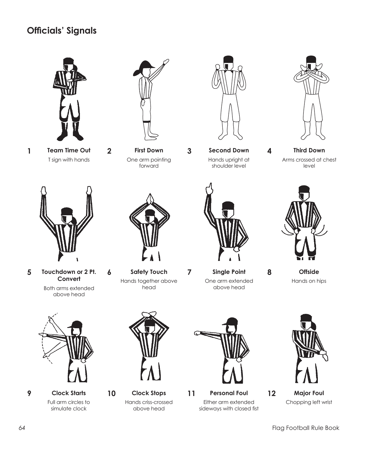# **Officials' Signals**



**Team Time Out 1 2 First Down 3** T sign with hands



One arm pointing forward



**Second Down** Hands upright at shoulder level



**Third Down** Arms crossed at chest level



**5 6 7 8 Touchdown or 2 Pt. Convert**

Both arms extended above head



**Safety Touch**  Hands together above head



above head

**Single Point** One arm extended

**4**

**Offside** Hands on hips



**9 Clock Starts** Full arm circles to simulate clock



Hands criss-crossed above head



**10 Clock Stops 11 12 Personal Foul** Either arm extended sideways with closed fist



**Major Foul** Chopping left wrist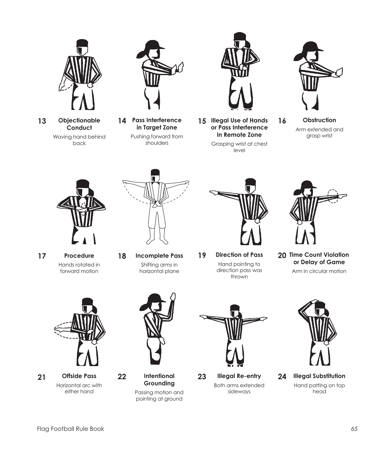

**Objectionable Conduct** Waving hand behind

back



**Pass Interference in Target Zone** Pushing forward from shoulders



13 Objectionable 14 Pass Interference 15 Illegal Use of Hands 16 **or Pass Interference in Remote Zone**

> Grasping wrist at chest level



**Obstruction** Arm extended and grasp wrist



**17 18 Procedure** Hands rotated in forward motion



**Incomplete Pass** Shifting arms in horizontal plane



direction pass was thrown



**20 Time Count Violation or Delay of Game**

Arm in circular motion



**21 Offside Pass**  Horizontal arc with either hand



**Grounding**  Passing motion and pointing at ground



**22 Intentional 23 24 Illegal Re-entry**  Both arms extended sideways



**Illegal Substitution**  Hand patting on top head